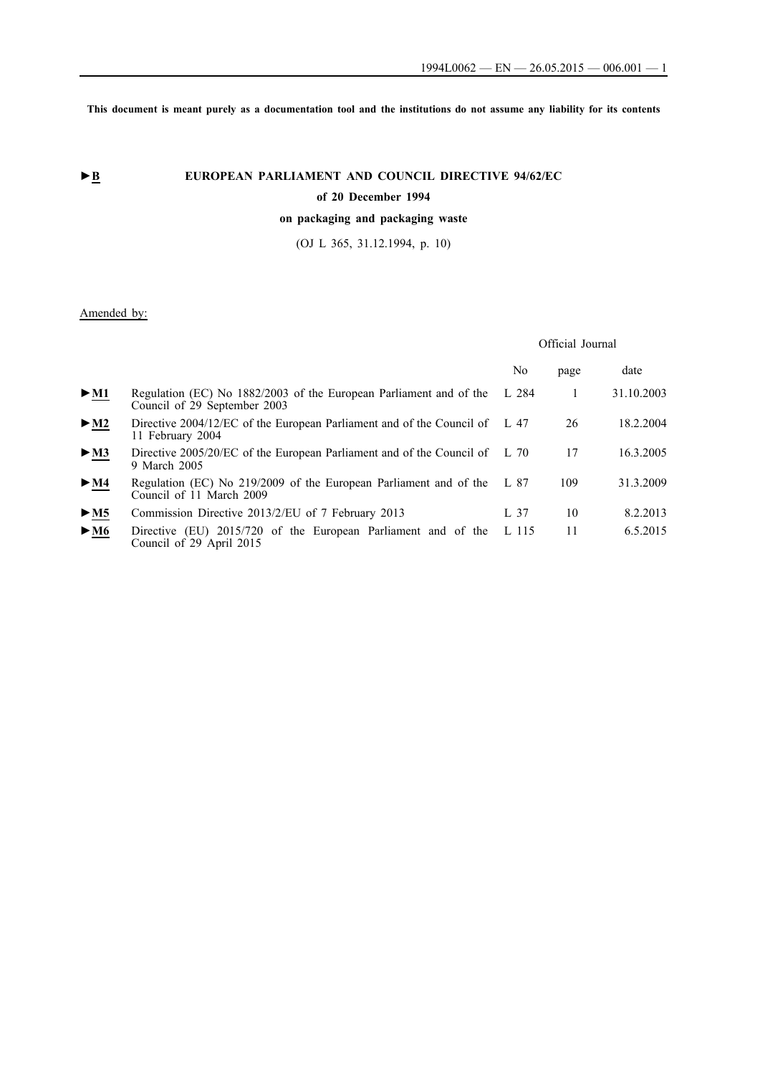**This document is meant purely as a documentation tool and the institutions do not assume any liability for its contents**

# **►B EUROPEAN PARLIAMENT AND COUNCIL DIRECTIVE 94/62/EC**

**of 20 December 1994**

## **on packaging and packaging waste**

(OJ L 365, 31.12.1994, p. 10)

## Amended by:

|                                 |                                                                                                     | Official Journal |      |            |
|---------------------------------|-----------------------------------------------------------------------------------------------------|------------------|------|------------|
|                                 |                                                                                                     | No               | page | date       |
| $\blacktriangleright$ <u>M1</u> | Regulation (EC) No 1882/2003 of the European Parliament and of the<br>Council of 29 September 2003  | L 284            |      | 31.10.2003 |
| $\triangleright$ <u>M2</u>      | Directive 2004/12/EC of the European Parliament and of the Council of $\;$ L 47<br>11 February 2004 |                  | 26   | 18.2.2004  |
| $\blacktriangleright$ M3        | Directive 2005/20/EC of the European Parliament and of the Council of L 70<br>9 March 2005          |                  | 17   | 16.3.2005  |
| $\triangleright$ <u>M4</u>      | Regulation (EC) No 219/2009 of the European Parliament and of the<br>Council of 11 March 2009       | L 87             | 109  | 31.3.2009  |
| > M5                            | Commission Directive 2013/2/EU of 7 February 2013                                                   | $L_{37}$         | 10   | 8.2.2013   |
| $\blacktriangleright$ M6        | Directive (EU) 2015/720 of the European Parliament and of the<br>Council of 29 April 2015           | L 115            | 11   | 6.5.2015   |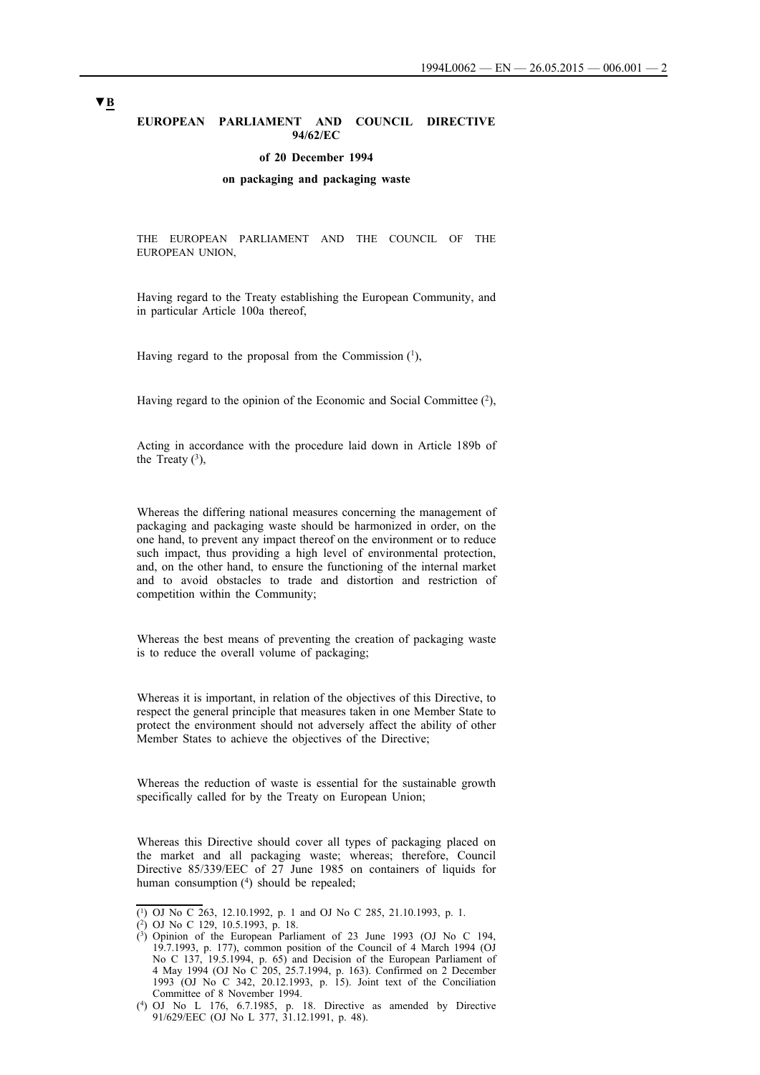#### **EUROPEAN PARLIAMENT AND COUNCIL DIRECTIVE 94/62/EC**

#### **of 20 December 1994**

#### **on packaging and packaging waste**

THE EUROPEAN PARLIAMENT AND THE COUNCIL OF THE EUROPEAN UNION,

Having regard to the Treaty establishing the European Community, and in particular Article 100a thereof,

Having regard to the proposal from the Commission  $(1)$ ,

Having regard to the opinion of the Economic and Social Committee  $(2)$ ,

Acting in accordance with the procedure laid down in Article 189b of the Treaty  $(3)$ ,

Whereas the differing national measures concerning the management of packaging and packaging waste should be harmonized in order, on the one hand, to prevent any impact thereof on the environment or to reduce such impact, thus providing a high level of environmental protection, and, on the other hand, to ensure the functioning of the internal market and to avoid obstacles to trade and distortion and restriction of competition within the Community;

Whereas the best means of preventing the creation of packaging waste is to reduce the overall volume of packaging;

Whereas it is important, in relation of the objectives of this Directive, to respect the general principle that measures taken in one Member State to protect the environment should not adversely affect the ability of other Member States to achieve the objectives of the Directive;

Whereas the reduction of waste is essential for the sustainable growth specifically called for by the Treaty on European Union;

Whereas this Directive should cover all types of packaging placed on the market and all packaging waste; whereas; therefore, Council Directive 85/339/EEC of 27 June 1985 on containers of liquids for human consumption (4) should be repealed;

- (1) OJ No C 263, 12.10.1992, p. 1 and OJ No C 285, 21.10.1993, p. 1.
- (2) OJ No C 129, 10.5.1993, p. 18.
- (3) Opinion of the European Parliament of 23 June 1993 (OJ No C 194, 19.7.1993, p. 177), common position of the Council of 4 March 1994 (OJ No C 137, 19.5.1994, p. 65) and Decision of the European Parliament of 4 May 1994 (OJ No C 205, 25.7.1994, p. 163). Confirmed on 2 December 1993 (OJ No C 342, 20.12.1993, p. 15). Joint text of the Conciliation Committee of 8 November 1994.

<sup>(4)</sup> OJ No L 176, 6.7.1985, p. 18. Directive as amended by Directive 91/629/EEC (OJ No L 377, 31.12.1991, p. 48).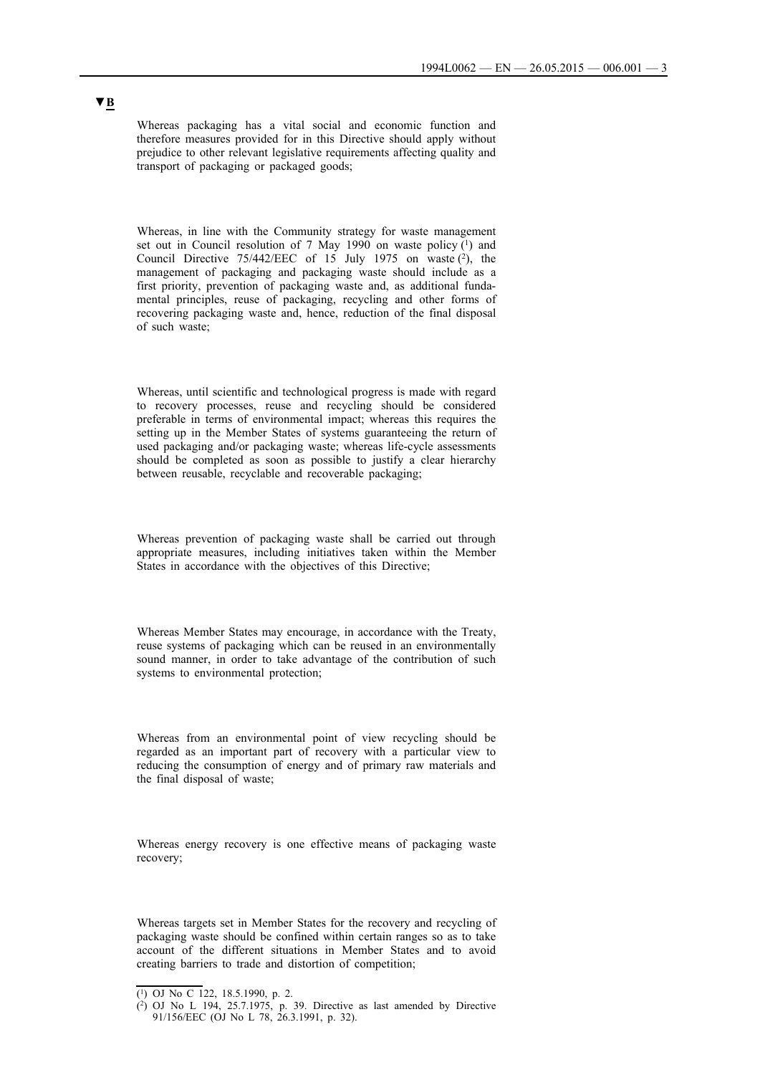Whereas packaging has a vital social and economic function and therefore measures provided for in this Directive should apply without prejudice to other relevant legislative requirements affecting quality and transport of packaging or packaged goods;

Whereas, in line with the Community strategy for waste management set out in Council resolution of 7 May 1990 on waste policy  $(1)$  and Council Directive  $75/442/EEC$  of  $15$  July 1975 on waste  $(2)$ , the management of packaging and packaging waste should include as a first priority, prevention of packaging waste and, as additional fundamental principles, reuse of packaging, recycling and other forms of recovering packaging waste and, hence, reduction of the final disposal of such waste;

Whereas, until scientific and technological progress is made with regard to recovery processes, reuse and recycling should be considered preferable in terms of environmental impact; whereas this requires the setting up in the Member States of systems guaranteeing the return of used packaging and/or packaging waste; whereas life-cycle assessments should be completed as soon as possible to justify a clear hierarchy between reusable, recyclable and recoverable packaging;

Whereas prevention of packaging waste shall be carried out through appropriate measures, including initiatives taken within the Member States in accordance with the objectives of this Directive;

Whereas Member States may encourage, in accordance with the Treaty, reuse systems of packaging which can be reused in an environmentally sound manner, in order to take advantage of the contribution of such systems to environmental protection;

Whereas from an environmental point of view recycling should be regarded as an important part of recovery with a particular view to reducing the consumption of energy and of primary raw materials and the final disposal of waste;

Whereas energy recovery is one effective means of packaging waste recovery;

Whereas targets set in Member States for the recovery and recycling of packaging waste should be confined within certain ranges so as to take account of the different situations in Member States and to avoid creating barriers to trade and distortion of competition;

<sup>(1)</sup> OJ No C 122, 18.5.1990, p. 2.

<sup>(2)</sup> OJ No L 194, 25.7.1975, p. 39. Directive as last amended by Directive 91/156/EEC (OJ No L 78, 26.3.1991, p. 32).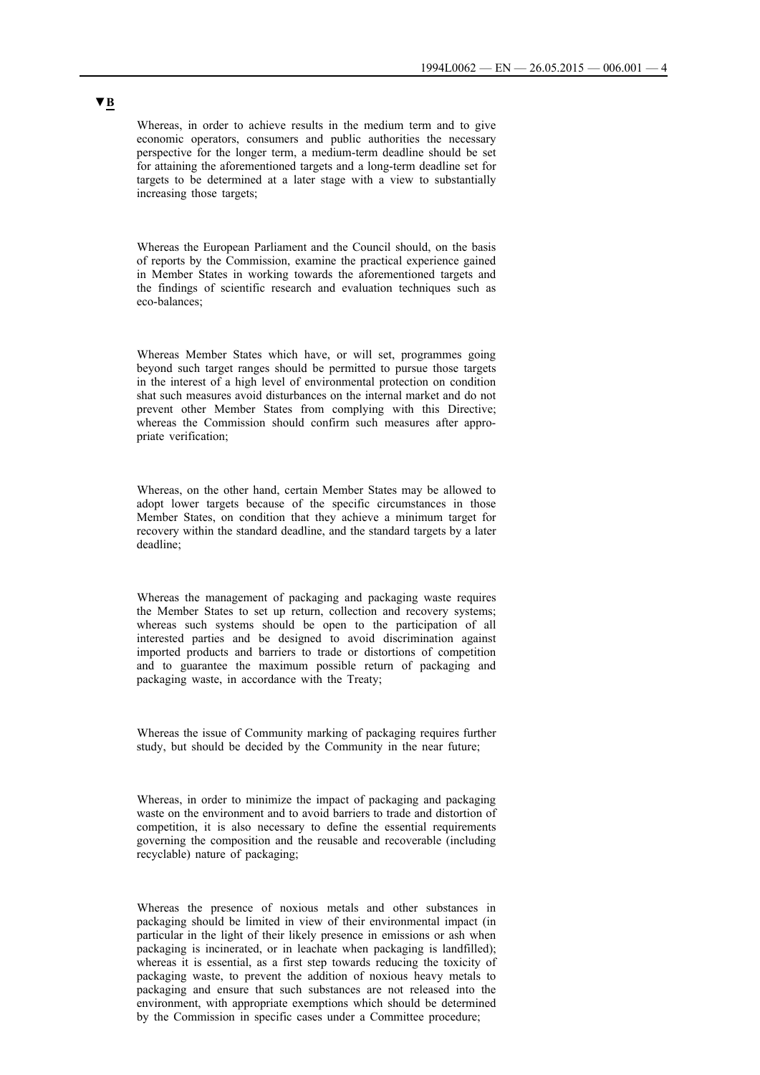Whereas, in order to achieve results in the medium term and to give economic operators, consumers and public authorities the necessary perspective for the longer term, a medium-term deadline should be set for attaining the aforementioned targets and a long-term deadline set for targets to be determined at a later stage with a view to substantially increasing those targets;

Whereas the European Parliament and the Council should, on the basis of reports by the Commission, examine the practical experience gained in Member States in working towards the aforementioned targets and the findings of scientific research and evaluation techniques such as eco-balances;

Whereas Member States which have, or will set, programmes going beyond such target ranges should be permitted to pursue those targets in the interest of a high level of environmental protection on condition shat such measures avoid disturbances on the internal market and do not prevent other Member States from complying with this Directive; whereas the Commission should confirm such measures after appropriate verification;

Whereas, on the other hand, certain Member States may be allowed to adopt lower targets because of the specific circumstances in those Member States, on condition that they achieve a minimum target for recovery within the standard deadline, and the standard targets by a later deadline;

Whereas the management of packaging and packaging waste requires the Member States to set up return, collection and recovery systems; whereas such systems should be open to the participation of all interested parties and be designed to avoid discrimination against imported products and barriers to trade or distortions of competition and to guarantee the maximum possible return of packaging and packaging waste, in accordance with the Treaty;

Whereas the issue of Community marking of packaging requires further study, but should be decided by the Community in the near future;

Whereas, in order to minimize the impact of packaging and packaging waste on the environment and to avoid barriers to trade and distortion of competition, it is also necessary to define the essential requirements governing the composition and the reusable and recoverable (including recyclable) nature of packaging;

Whereas the presence of noxious metals and other substances in packaging should be limited in view of their environmental impact (in particular in the light of their likely presence in emissions or ash when packaging is incinerated, or in leachate when packaging is landfilled); whereas it is essential, as a first step towards reducing the toxicity of packaging waste, to prevent the addition of noxious heavy metals to packaging and ensure that such substances are not released into the environment, with appropriate exemptions which should be determined by the Commission in specific cases under a Committee procedure;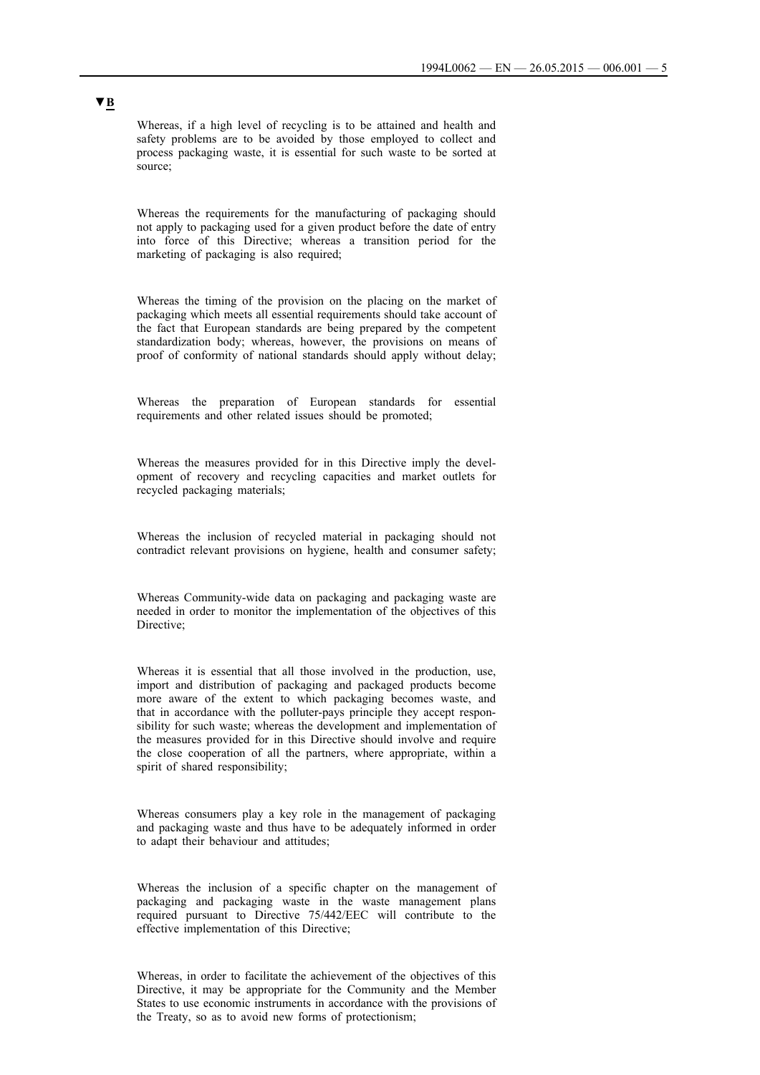Whereas, if a high level of recycling is to be attained and health and safety problems are to be avoided by those employed to collect and process packaging waste, it is essential for such waste to be sorted at source;

Whereas the requirements for the manufacturing of packaging should not apply to packaging used for a given product before the date of entry into force of this Directive; whereas a transition period for the marketing of packaging is also required;

Whereas the timing of the provision on the placing on the market of packaging which meets all essential requirements should take account of the fact that European standards are being prepared by the competent standardization body; whereas, however, the provisions on means of proof of conformity of national standards should apply without delay;

Whereas the preparation of European standards for essential requirements and other related issues should be promoted;

Whereas the measures provided for in this Directive imply the development of recovery and recycling capacities and market outlets for recycled packaging materials;

Whereas the inclusion of recycled material in packaging should not contradict relevant provisions on hygiene, health and consumer safety;

Whereas Community-wide data on packaging and packaging waste are needed in order to monitor the implementation of the objectives of this Directive;

Whereas it is essential that all those involved in the production, use, import and distribution of packaging and packaged products become more aware of the extent to which packaging becomes waste, and that in accordance with the polluter-pays principle they accept responsibility for such waste; whereas the development and implementation of the measures provided for in this Directive should involve and require the close cooperation of all the partners, where appropriate, within a spirit of shared responsibility;

Whereas consumers play a key role in the management of packaging and packaging waste and thus have to be adequately informed in order to adapt their behaviour and attitudes;

Whereas the inclusion of a specific chapter on the management of packaging and packaging waste in the waste management plans required pursuant to Directive 75/442/EEC will contribute to the effective implementation of this Directive;

Whereas, in order to facilitate the achievement of the objectives of this Directive, it may be appropriate for the Community and the Member States to use economic instruments in accordance with the provisions of the Treaty, so as to avoid new forms of protectionism;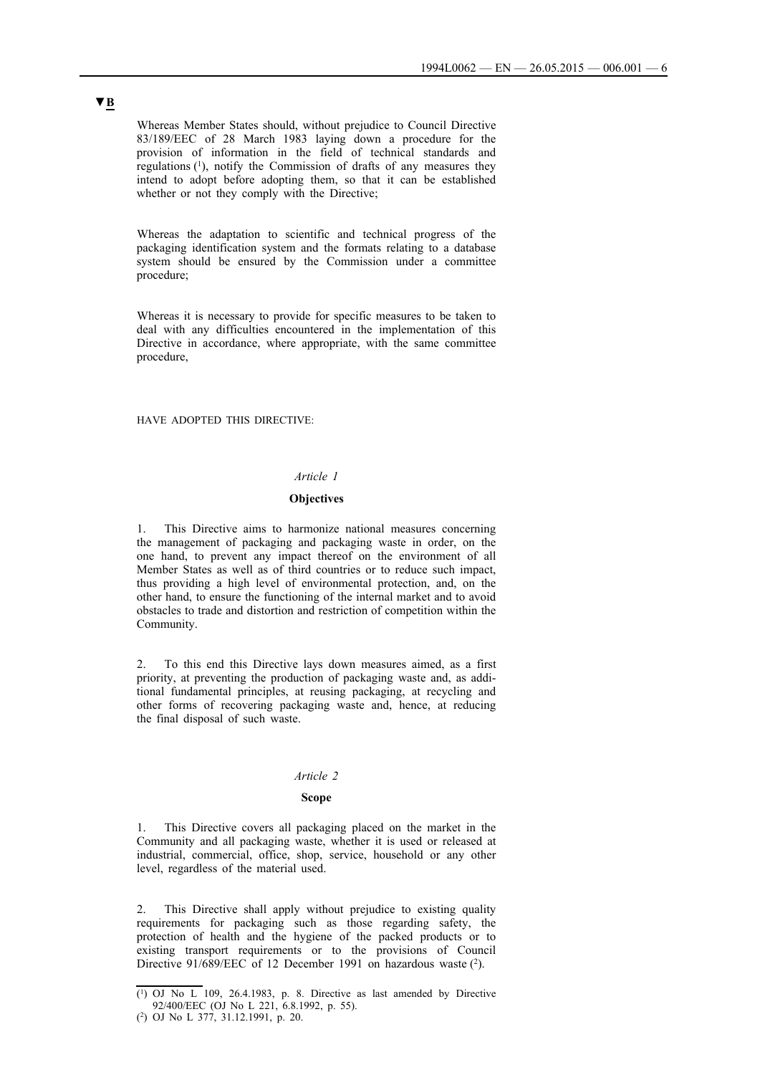Whereas Member States should, without prejudice to Council Directive 83/189/EEC of 28 March 1983 laying down a procedure for the provision of information in the field of technical standards and regulations  $(1)$ , notify the Commission of drafts of any measures they intend to adopt before adopting them, so that it can be established whether or not they comply with the Directive;

Whereas the adaptation to scientific and technical progress of the packaging identification system and the formats relating to a database system should be ensured by the Commission under a committee procedure;

Whereas it is necessary to provide for specific measures to be taken to deal with any difficulties encountered in the implementation of this Directive in accordance, where appropriate, with the same committee procedure,

## HAVE ADOPTED THIS DIRECTIVE:

### *Article 1*

## **Objectives**

1. This Directive aims to harmonize national measures concerning the management of packaging and packaging waste in order, on the one hand, to prevent any impact thereof on the environment of all Member States as well as of third countries or to reduce such impact, thus providing a high level of environmental protection, and, on the other hand, to ensure the functioning of the internal market and to avoid obstacles to trade and distortion and restriction of competition within the Community.

2. To this end this Directive lays down measures aimed, as a first priority, at preventing the production of packaging waste and, as additional fundamental principles, at reusing packaging, at recycling and other forms of recovering packaging waste and, hence, at reducing the final disposal of such waste.

### *Article 2*

### **Scope**

1. This Directive covers all packaging placed on the market in the Community and all packaging waste, whether it is used or released at industrial, commercial, office, shop, service, household or any other level, regardless of the material used.

2. This Directive shall apply without prejudice to existing quality requirements for packaging such as those regarding safety, the protection of health and the hygiene of the packed products or to existing transport requirements or to the provisions of Council Directive 91/689/EEC of 12 December 1991 on hazardous waste <sup>(2)</sup>.

<sup>(1)</sup> OJ No L 109, 26.4.1983, p. 8. Directive as last amended by Directive 92/400/EEC (OJ No L 221, 6.8.1992, p. 55).

<sup>(2)</sup> OJ No L 377, 31.12.1991, p. 20.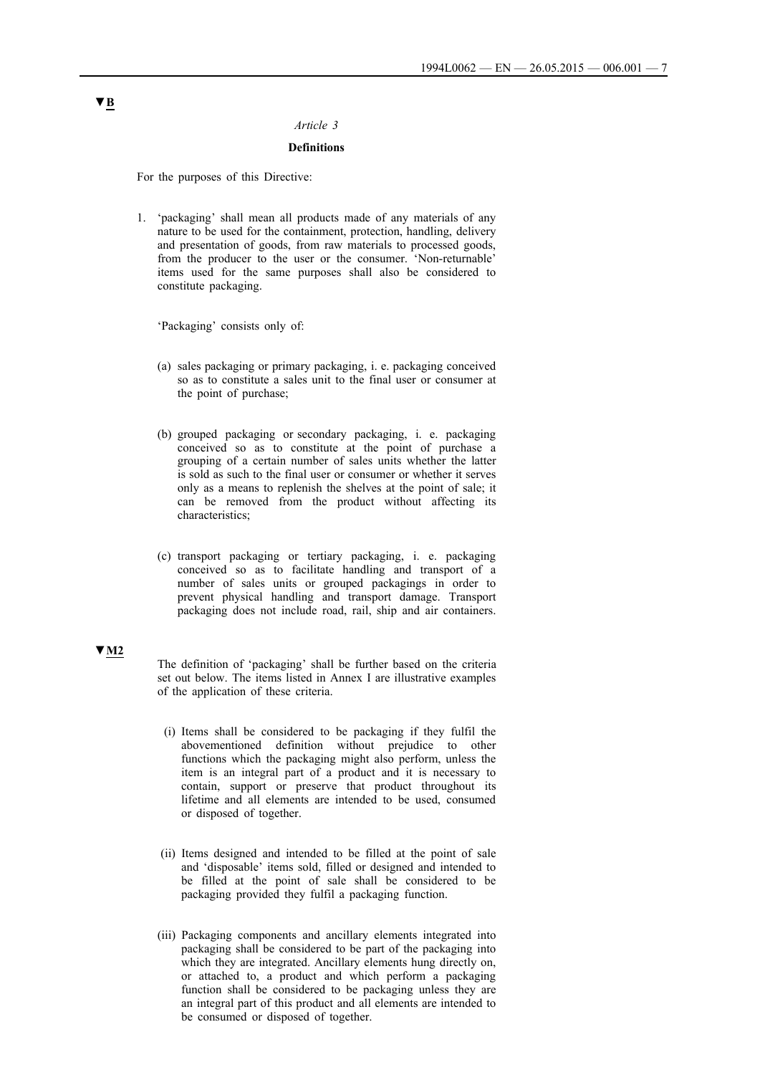## **Definitions**

For the purposes of this Directive:

1. 'packaging' shall mean all products made of any materials of any nature to be used for the containment, protection, handling, delivery and presentation of goods, from raw materials to processed goods, from the producer to the user or the consumer. 'Non-returnable' items used for the same purposes shall also be considered to constitute packaging.

'Packaging' consists only of:

- (a) sales packaging or primary packaging, i. e. packaging conceived so as to constitute a sales unit to the final user or consumer at the point of purchase;
- (b) grouped packaging or secondary packaging, i. e. packaging conceived so as to constitute at the point of purchase a grouping of a certain number of sales units whether the latter is sold as such to the final user or consumer or whether it serves only as a means to replenish the shelves at the point of sale; it can be removed from the product without affecting its characteristics;
- (c) transport packaging or tertiary packaging, i. e. packaging conceived so as to facilitate handling and transport of a number of sales units or grouped packagings in order to prevent physical handling and transport damage. Transport packaging does not include road, rail, ship and air containers.

## **▼M2**

The definition of 'packaging' shall be further based on the criteria set out below. The items listed in Annex I are illustrative examples of the application of these criteria.

- (i) Items shall be considered to be packaging if they fulfil the abovementioned definition without prejudice to other functions which the packaging might also perform, unless the item is an integral part of a product and it is necessary to contain, support or preserve that product throughout its lifetime and all elements are intended to be used, consumed or disposed of together.
- (ii) Items designed and intended to be filled at the point of sale and 'disposable' items sold, filled or designed and intended to be filled at the point of sale shall be considered to be packaging provided they fulfil a packaging function.
- (iii) Packaging components and ancillary elements integrated into packaging shall be considered to be part of the packaging into which they are integrated. Ancillary elements hung directly on, or attached to, a product and which perform a packaging function shall be considered to be packaging unless they are an integral part of this product and all elements are intended to be consumed or disposed of together.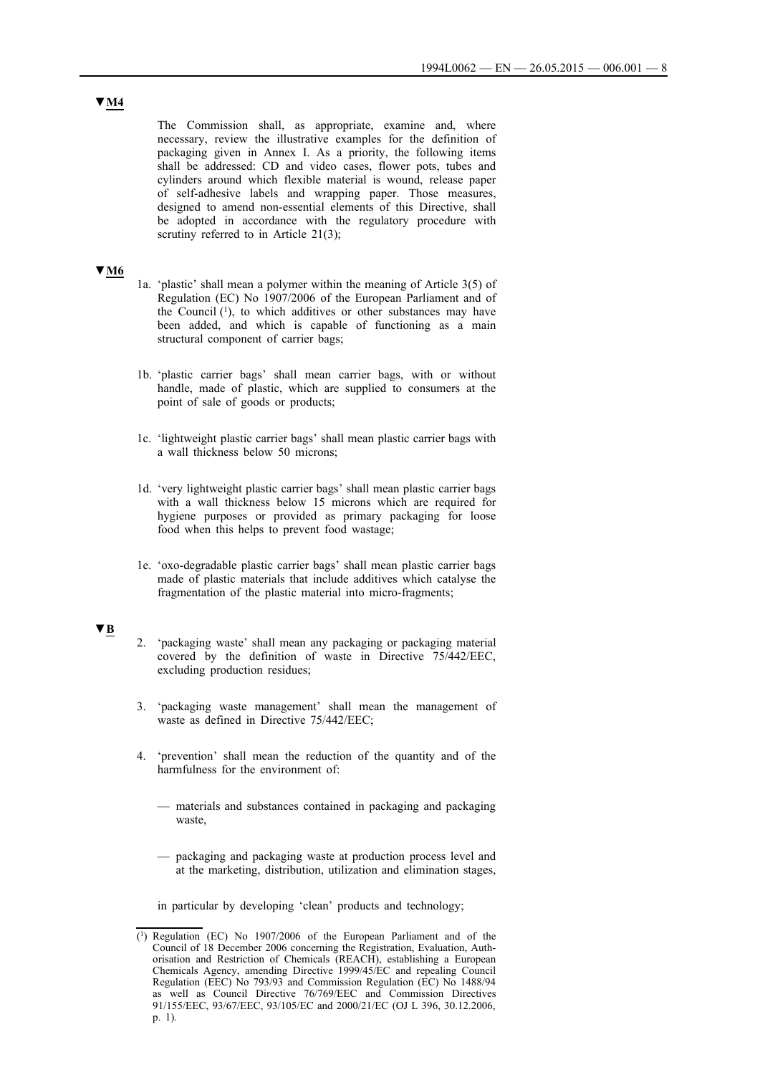The Commission shall, as appropriate, examine and, where necessary, review the illustrative examples for the definition of packaging given in Annex I. As a priority, the following items shall be addressed: CD and video cases, flower pots, tubes and cylinders around which flexible material is wound, release paper of self-adhesive labels and wrapping paper. Those measures, designed to amend non-essential elements of this Directive, shall be adopted in accordance with the regulatory procedure with scrutiny referred to in Article 21(3);

## **▼M6**

- 1a. 'plastic' shall mean a polymer within the meaning of Article 3(5) of Regulation (EC) No 1907/2006 of the European Parliament and of the Council  $(1)$ , to which additives or other substances may have been added, and which is capable of functioning as a main structural component of carrier bags;
- 1b. 'plastic carrier bags' shall mean carrier bags, with or without handle, made of plastic, which are supplied to consumers at the point of sale of goods or products;
- 1c. 'lightweight plastic carrier bags' shall mean plastic carrier bags with a wall thickness below 50 microns;
- 1d. 'very lightweight plastic carrier bags' shall mean plastic carrier bags with a wall thickness below 15 microns which are required for hygiene purposes or provided as primary packaging for loose food when this helps to prevent food wastage;
- 1e. 'oxo-degradable plastic carrier bags' shall mean plastic carrier bags made of plastic materials that include additives which catalyse the fragmentation of the plastic material into micro-fragments;

## **▼B**

- 2. 'packaging waste' shall mean any packaging or packaging material covered by the definition of waste in Directive 75/442/EEC, excluding production residues;
- 3. 'packaging waste management' shall mean the management of waste as defined in Directive 75/442/EEC;
- 4. 'prevention' shall mean the reduction of the quantity and of the harmfulness for the environment of:
	- materials and substances contained in packaging and packaging waste,
	- packaging and packaging waste at production process level and at the marketing, distribution, utilization and elimination stages,

in particular by developing 'clean' products and technology;

<sup>(1)</sup> Regulation (EC) No 1907/2006 of the European Parliament and of the Council of 18 December 2006 concerning the Registration, Evaluation, Authorisation and Restriction of Chemicals (REACH), establishing a European Chemicals Agency, amending Directive 1999/45/EC and repealing Council Regulation (EEC) No 793/93 and Commission Regulation (EC) No 1488/94 as well as Council Directive 76/769/EEC and Commission Directives 91/155/EEC, 93/67/EEC, 93/105/EC and 2000/21/EC (OJ L 396, 30.12.2006, p. 1).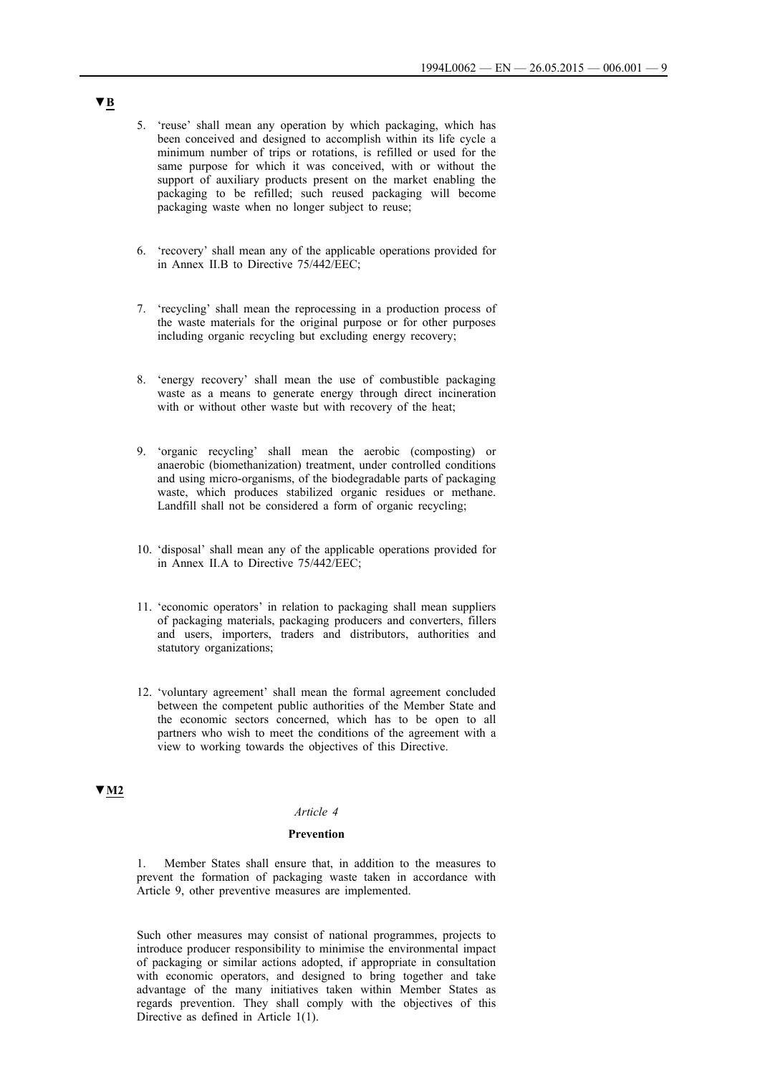- 5. 'reuse' shall mean any operation by which packaging, which has been conceived and designed to accomplish within its life cycle a minimum number of trips or rotations, is refilled or used for the same purpose for which it was conceived, with or without the support of auxiliary products present on the market enabling the packaging to be refilled; such reused packaging will become packaging waste when no longer subject to reuse;
- 6. 'recovery' shall mean any of the applicable operations provided for in Annex II.B to Directive 75/442/EEC;
- 7. 'recycling' shall mean the reprocessing in a production process of the waste materials for the original purpose or for other purposes including organic recycling but excluding energy recovery;
- 8. 'energy recovery' shall mean the use of combustible packaging waste as a means to generate energy through direct incineration with or without other waste but with recovery of the heat;
- 9. 'organic recycling' shall mean the aerobic (composting) or anaerobic (biomethanization) treatment, under controlled conditions and using micro-organisms, of the biodegradable parts of packaging waste, which produces stabilized organic residues or methane. Landfill shall not be considered a form of organic recycling;
- 10. 'disposal' shall mean any of the applicable operations provided for in Annex II.A to Directive 75/442/EEC;
- 11. 'economic operators' in relation to packaging shall mean suppliers of packaging materials, packaging producers and converters, fillers and users, importers, traders and distributors, authorities and statutory organizations;
- 12. 'voluntary agreement' shall mean the formal agreement concluded between the competent public authorities of the Member State and the economic sectors concerned, which has to be open to all partners who wish to meet the conditions of the agreement with a view to working towards the objectives of this Directive.

**▼M2**

#### *Article 4*

#### **Prevention**

1. Member States shall ensure that, in addition to the measures to prevent the formation of packaging waste taken in accordance with Article 9, other preventive measures are implemented.

Such other measures may consist of national programmes, projects to introduce producer responsibility to minimise the environmental impact of packaging or similar actions adopted, if appropriate in consultation with economic operators, and designed to bring together and take advantage of the many initiatives taken within Member States as regards prevention. They shall comply with the objectives of this Directive as defined in Article 1(1).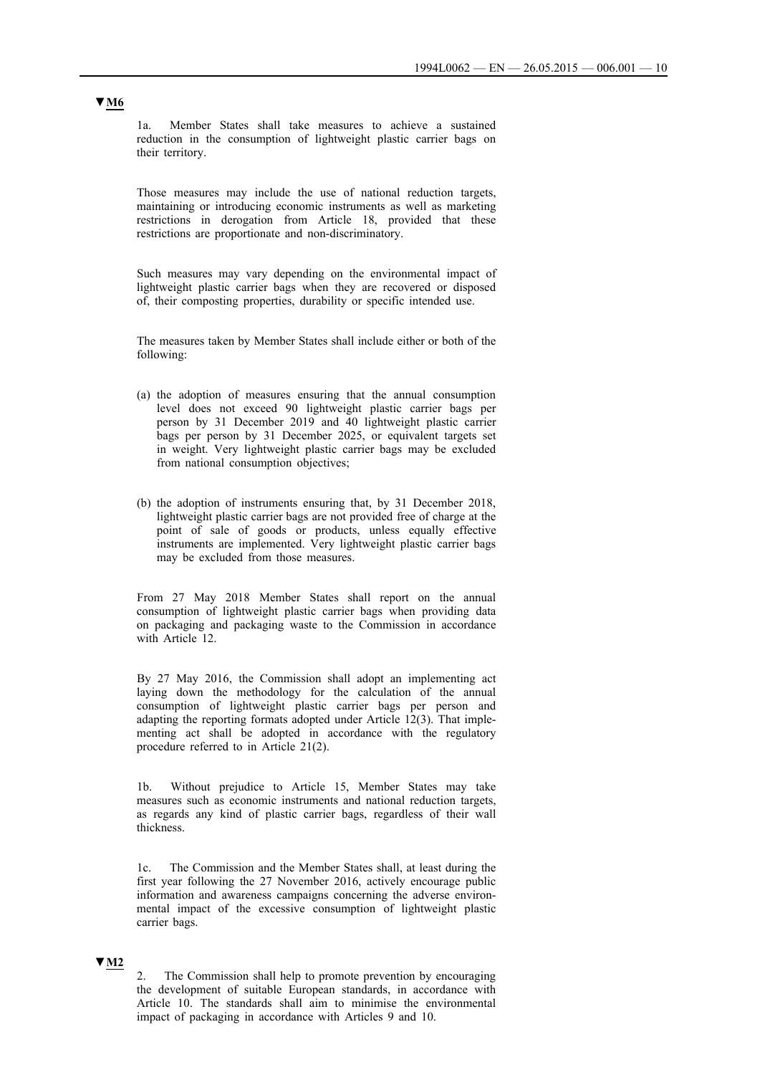1a. Member States shall take measures to achieve a sustained reduction in the consumption of lightweight plastic carrier bags on their territory.

Those measures may include the use of national reduction targets, maintaining or introducing economic instruments as well as marketing restrictions in derogation from Article 18, provided that these restrictions are proportionate and non-discriminatory.

Such measures may vary depending on the environmental impact of lightweight plastic carrier bags when they are recovered or disposed of, their composting properties, durability or specific intended use.

The measures taken by Member States shall include either or both of the following:

- (a) the adoption of measures ensuring that the annual consumption level does not exceed 90 lightweight plastic carrier bags per person by 31 December 2019 and 40 lightweight plastic carrier bags per person by 31 December 2025, or equivalent targets set in weight. Very lightweight plastic carrier bags may be excluded from national consumption objectives;
- (b) the adoption of instruments ensuring that, by 31 December 2018, lightweight plastic carrier bags are not provided free of charge at the point of sale of goods or products, unless equally effective instruments are implemented. Very lightweight plastic carrier bags may be excluded from those measures.

From 27 May 2018 Member States shall report on the annual consumption of lightweight plastic carrier bags when providing data on packaging and packaging waste to the Commission in accordance with Article 12.

By 27 May 2016, the Commission shall adopt an implementing act laying down the methodology for the calculation of the annual consumption of lightweight plastic carrier bags per person and adapting the reporting formats adopted under Article 12(3). That implementing act shall be adopted in accordance with the regulatory procedure referred to in Article 21(2).

1b. Without prejudice to Article 15, Member States may take measures such as economic instruments and national reduction targets, as regards any kind of plastic carrier bags, regardless of their wall thickness.

1c. The Commission and the Member States shall, at least during the first year following the 27 November 2016, actively encourage public information and awareness campaigns concerning the adverse environmental impact of the excessive consumption of lightweight plastic carrier bags.

## **▼M2**

The Commission shall help to promote prevention by encouraging the development of suitable European standards, in accordance with Article 10. The standards shall aim to minimise the environmental impact of packaging in accordance with Articles 9 and 10.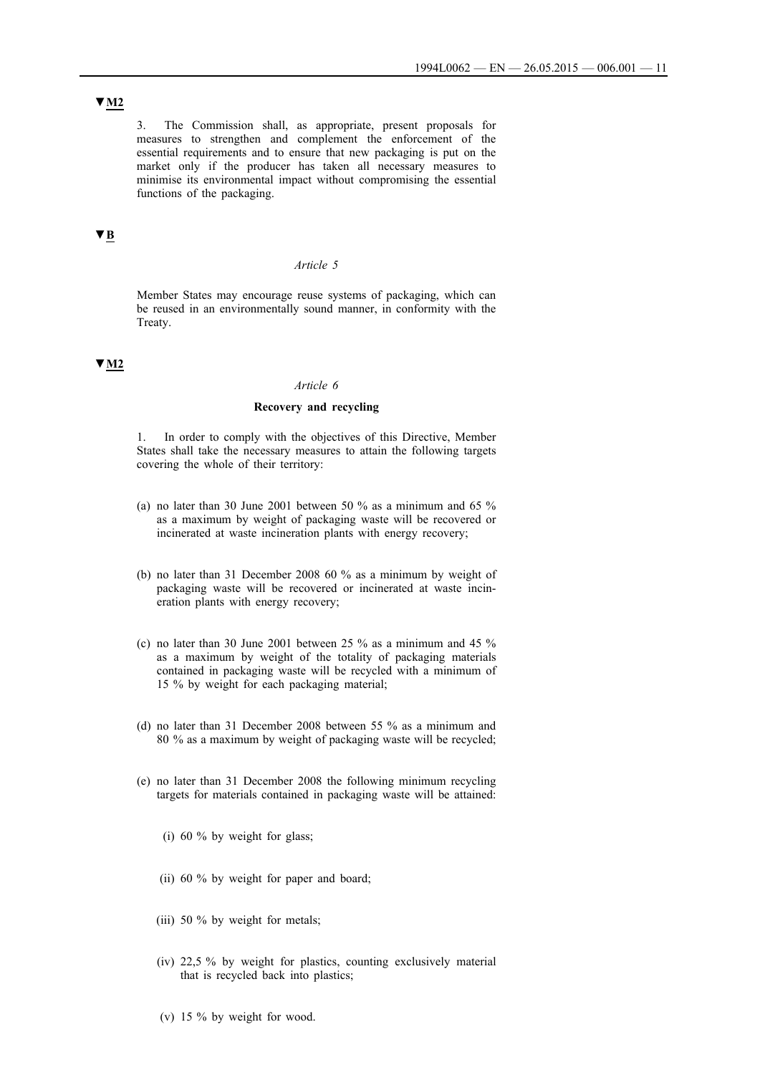# **▼M2**

3. The Commission shall, as appropriate, present proposals for measures to strengthen and complement the enforcement of the essential requirements and to ensure that new packaging is put on the market only if the producer has taken all necessary measures to minimise its environmental impact without compromising the essential functions of the packaging.

## **▼B**

## *Article 5*

Member States may encourage reuse systems of packaging, which can be reused in an environmentally sound manner, in conformity with the Treaty.

## **▼M2**

## *Article 6*

#### **Recovery and recycling**

1. In order to comply with the objectives of this Directive, Member States shall take the necessary measures to attain the following targets covering the whole of their territory:

- (a) no later than 30 June 2001 between 50 % as a minimum and 65 % as a maximum by weight of packaging waste will be recovered or incinerated at waste incineration plants with energy recovery;
- (b) no later than 31 December 2008 60 % as a minimum by weight of packaging waste will be recovered or incinerated at waste incineration plants with energy recovery;
- (c) no later than 30 June 2001 between 25 % as a minimum and 45 % as a maximum by weight of the totality of packaging materials contained in packaging waste will be recycled with a minimum of 15 % by weight for each packaging material;
- (d) no later than 31 December 2008 between 55 % as a minimum and 80 % as a maximum by weight of packaging waste will be recycled;
- (e) no later than 31 December 2008 the following minimum recycling targets for materials contained in packaging waste will be attained:
	- (i) 60 % by weight for glass;
	- (ii) 60 % by weight for paper and board;
	- (iii) 50 % by weight for metals;
	- (iv) 22,5 % by weight for plastics, counting exclusively material that is recycled back into plastics;
	- (v) 15 % by weight for wood.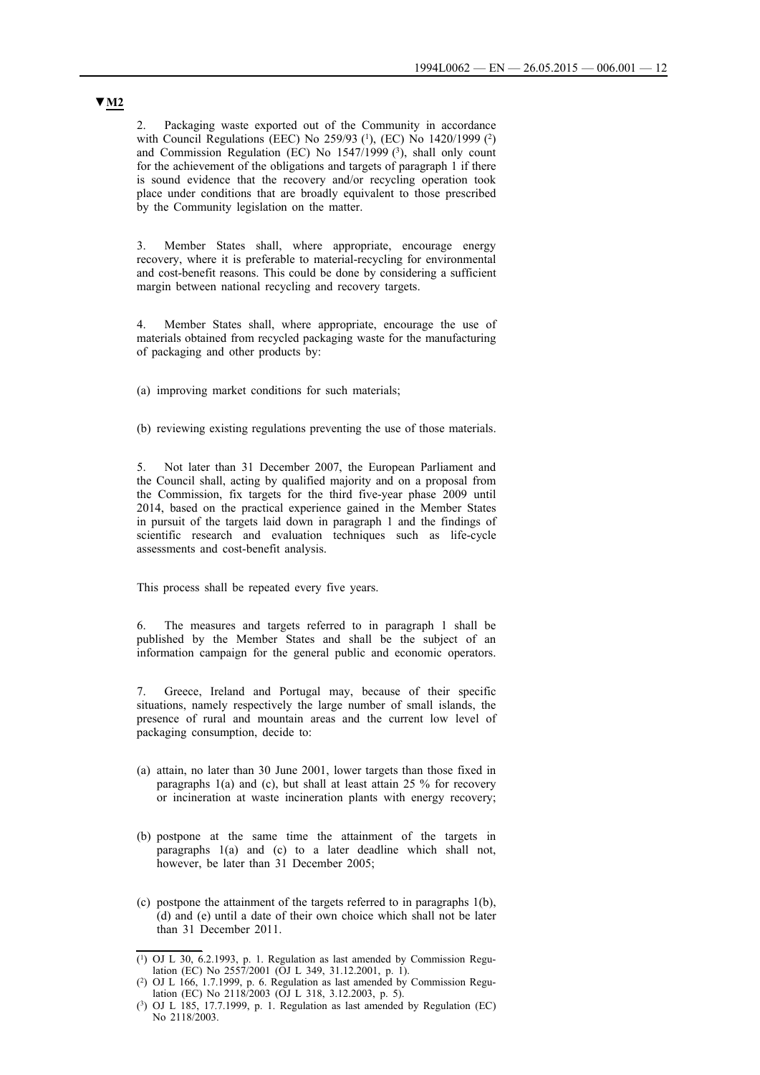2. Packaging waste exported out of the Community in accordance with Council Regulations (EEC) No 259/93 (<sup>1</sup>), (EC) No 1420/1999 (<sup>2</sup>) and Commission Regulation (EC) No  $1547/1999$  (3), shall only count for the achievement of the obligations and targets of paragraph 1 if there is sound evidence that the recovery and/or recycling operation took place under conditions that are broadly equivalent to those prescribed by the Community legislation on the matter.

3. Member States shall, where appropriate, encourage energy recovery, where it is preferable to material-recycling for environmental and cost-benefit reasons. This could be done by considering a sufficient margin between national recycling and recovery targets.

4. Member States shall, where appropriate, encourage the use of materials obtained from recycled packaging waste for the manufacturing of packaging and other products by:

(a) improving market conditions for such materials;

(b) reviewing existing regulations preventing the use of those materials.

5. Not later than 31 December 2007, the European Parliament and the Council shall, acting by qualified majority and on a proposal from the Commission, fix targets for the third five-year phase 2009 until 2014, based on the practical experience gained in the Member States in pursuit of the targets laid down in paragraph 1 and the findings of scientific research and evaluation techniques such as life-cycle assessments and cost-benefit analysis.

This process shall be repeated every five years.

6. The measures and targets referred to in paragraph 1 shall be published by the Member States and shall be the subject of an information campaign for the general public and economic operators.

7. Greece, Ireland and Portugal may, because of their specific situations, namely respectively the large number of small islands, the presence of rural and mountain areas and the current low level of packaging consumption, decide to:

- (a) attain, no later than 30 June 2001, lower targets than those fixed in paragraphs  $1(a)$  and (c), but shall at least attain 25 % for recovery or incineration at waste incineration plants with energy recovery;
- (b) postpone at the same time the attainment of the targets in paragraphs 1(a) and (c) to a later deadline which shall not, however, be later than 31 December 2005;
- (c) postpone the attainment of the targets referred to in paragraphs 1(b), (d) and (e) until a date of their own choice which shall not be later than 31 December 2011.

 $(1)$  OJ L 30, 6.2.1993, p. 1. Regulation as last amended by Commission Regulation (EC) No 2557/2001 (OJ L 349, 31.12.2001, p. 1).

<sup>(2)</sup> OJ L 166, 1.7.1999, p. 6. Regulation as last amended by Commission Regulation (EC) No 2118/2003 (OJ L 318, 3.12.2003, p. 5).

<sup>(3)</sup> OJ L 185, 17.7.1999, p. 1. Regulation as last amended by Regulation (EC) No 2118/2003.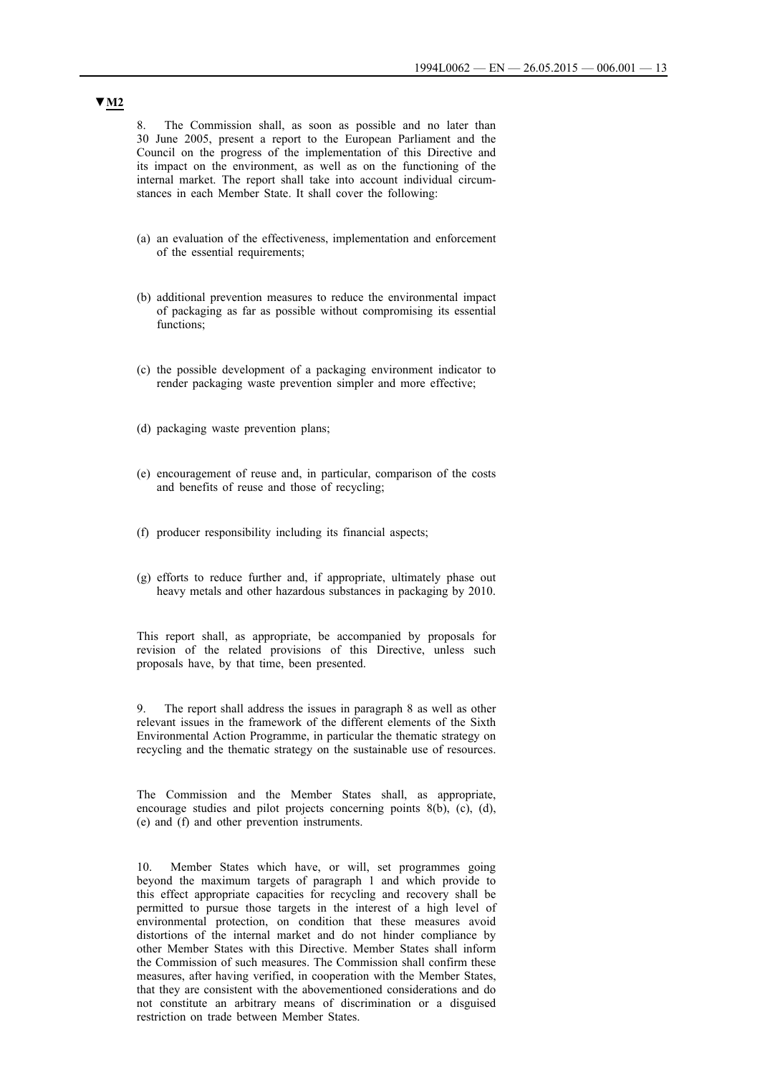8. The Commission shall, as soon as possible and no later than 30 June 2005, present a report to the European Parliament and the Council on the progress of the implementation of this Directive and its impact on the environment, as well as on the functioning of the internal market. The report shall take into account individual circumstances in each Member State. It shall cover the following:

- (a) an evaluation of the effectiveness, implementation and enforcement of the essential requirements;
- (b) additional prevention measures to reduce the environmental impact of packaging as far as possible without compromising its essential functions;
- (c) the possible development of a packaging environment indicator to render packaging waste prevention simpler and more effective;
- (d) packaging waste prevention plans;
- (e) encouragement of reuse and, in particular, comparison of the costs and benefits of reuse and those of recycling;
- (f) producer responsibility including its financial aspects;
- (g) efforts to reduce further and, if appropriate, ultimately phase out heavy metals and other hazardous substances in packaging by 2010.

This report shall, as appropriate, be accompanied by proposals for revision of the related provisions of this Directive, unless such proposals have, by that time, been presented.

9. The report shall address the issues in paragraph 8 as well as other relevant issues in the framework of the different elements of the Sixth Environmental Action Programme, in particular the thematic strategy on recycling and the thematic strategy on the sustainable use of resources.

The Commission and the Member States shall, as appropriate, encourage studies and pilot projects concerning points  $8(b)$ ,  $(c)$ ,  $(d)$ , (e) and (f) and other prevention instruments.

10. Member States which have, or will, set programmes going beyond the maximum targets of paragraph 1 and which provide to this effect appropriate capacities for recycling and recovery shall be permitted to pursue those targets in the interest of a high level of environmental protection, on condition that these measures avoid distortions of the internal market and do not hinder compliance by other Member States with this Directive. Member States shall inform the Commission of such measures. The Commission shall confirm these measures, after having verified, in cooperation with the Member States, that they are consistent with the abovementioned considerations and do not constitute an arbitrary means of discrimination or a disguised restriction on trade between Member States.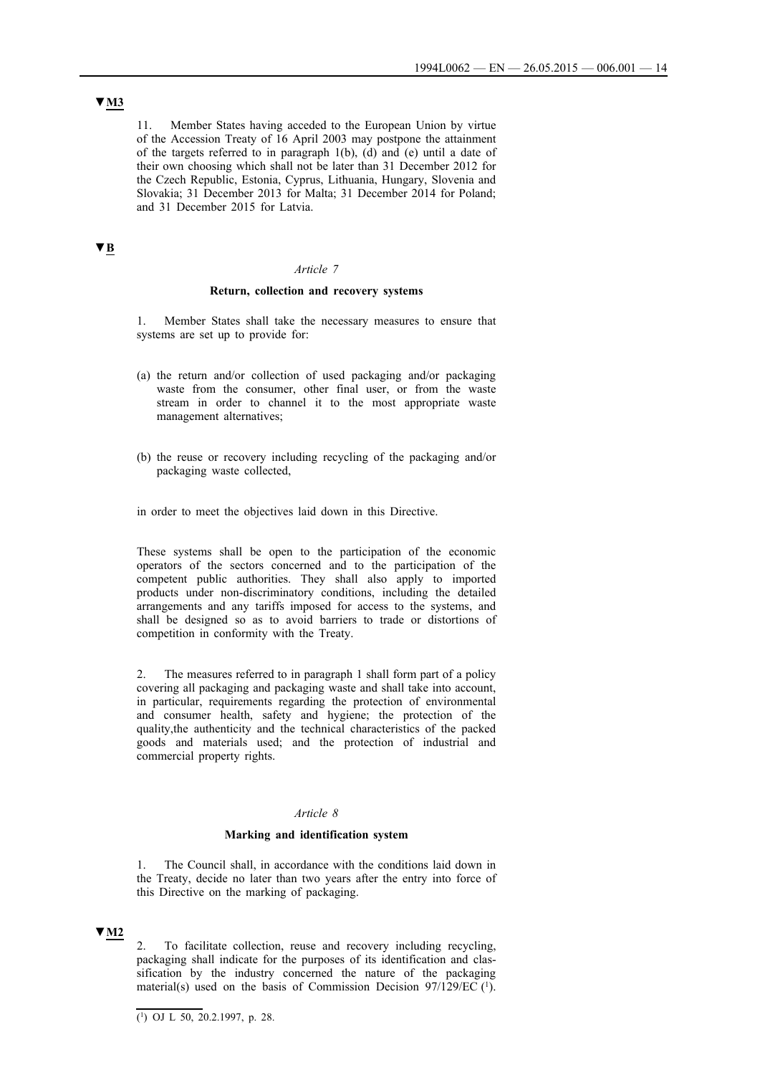**▼M3**

11. Member States having acceded to the European Union by virtue of the Accession Treaty of 16 April 2003 may postpone the attainment of the targets referred to in paragraph 1(b), (d) and (e) until a date of their own choosing which shall not be later than 31 December 2012 for the Czech Republic, Estonia, Cyprus, Lithuania, Hungary, Slovenia and Slovakia; 31 December 2013 for Malta; 31 December 2014 for Poland; and 31 December 2015 for Latvia.

## **▼B**

#### *Article 7*

### **Return, collection and recovery systems**

1. Member States shall take the necessary measures to ensure that systems are set up to provide for:

- (a) the return and/or collection of used packaging and/or packaging waste from the consumer, other final user, or from the waste stream in order to channel it to the most appropriate waste management alternatives;
- (b) the reuse or recovery including recycling of the packaging and/or packaging waste collected,

in order to meet the objectives laid down in this Directive.

These systems shall be open to the participation of the economic operators of the sectors concerned and to the participation of the competent public authorities. They shall also apply to imported products under non-discriminatory conditions, including the detailed arrangements and any tariffs imposed for access to the systems, and shall be designed so as to avoid barriers to trade or distortions of competition in conformity with the Treaty.

2. The measures referred to in paragraph 1 shall form part of a policy covering all packaging and packaging waste and shall take into account, in particular, requirements regarding the protection of environmental and consumer health, safety and hygiene; the protection of the quality,the authenticity and the technical characteristics of the packed goods and materials used; and the protection of industrial and commercial property rights.

### *Article 8*

#### **Marking and identification system**

1. The Council shall, in accordance with the conditions laid down in the Treaty, decide no later than two years after the entry into force of this Directive on the marking of packaging.

#### **▼M2**

2. To facilitate collection, reuse and recovery including recycling, packaging shall indicate for the purposes of its identification and classification by the industry concerned the nature of the packaging material(s) used on the basis of Commission Decision 97/129/EC  $(1)$ .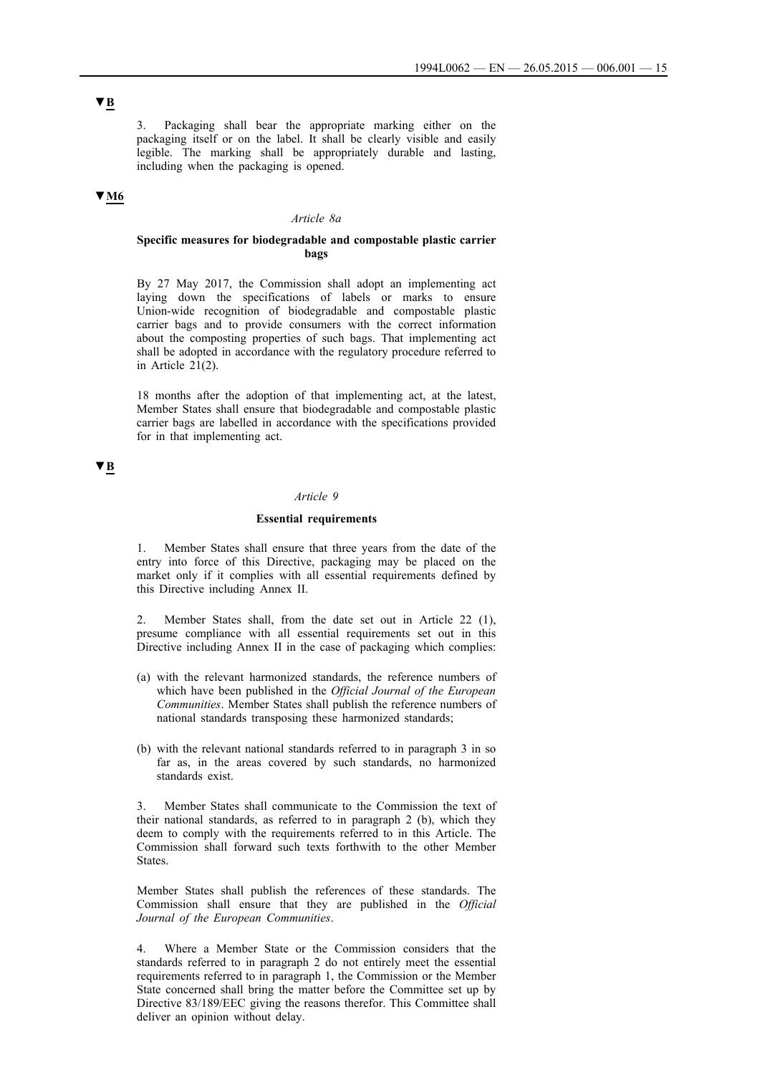3. Packaging shall bear the appropriate marking either on the packaging itself or on the label. It shall be clearly visible and easily legible. The marking shall be appropriately durable and lasting, including when the packaging is opened.

## **▼M6**

#### *Article 8a*

### **Specific measures for biodegradable and compostable plastic carrier bags**

By 27 May 2017, the Commission shall adopt an implementing act laying down the specifications of labels or marks to ensure Union-wide recognition of biodegradable and compostable plastic carrier bags and to provide consumers with the correct information about the composting properties of such bags. That implementing act shall be adopted in accordance with the regulatory procedure referred to in Article 21(2).

18 months after the adoption of that implementing act, at the latest, Member States shall ensure that biodegradable and compostable plastic carrier bags are labelled in accordance with the specifications provided for in that implementing act.

# **▼B**

## *Article 9*

#### **Essential requirements**

1. Member States shall ensure that three years from the date of the entry into force of this Directive, packaging may be placed on the market only if it complies with all essential requirements defined by this Directive including Annex II.

2. Member States shall, from the date set out in Article 22 (1), presume compliance with all essential requirements set out in this Directive including Annex II in the case of packaging which complies:

- (a) with the relevant harmonized standards, the reference numbers of which have been published in the *Official Journal of the European Communities*. Member States shall publish the reference numbers of national standards transposing these harmonized standards;
- (b) with the relevant national standards referred to in paragraph 3 in so far as, in the areas covered by such standards, no harmonized standards exist.

3. Member States shall communicate to the Commission the text of their national standards, as referred to in paragraph 2 (b), which they deem to comply with the requirements referred to in this Article. The Commission shall forward such texts forthwith to the other Member States.

Member States shall publish the references of these standards. The Commission shall ensure that they are published in the *Official Journal of the European Communities*.

4. Where a Member State or the Commission considers that the standards referred to in paragraph 2 do not entirely meet the essential requirements referred to in paragraph 1, the Commission or the Member State concerned shall bring the matter before the Committee set up by Directive 83/189/EEC giving the reasons therefor. This Committee shall deliver an opinion without delay.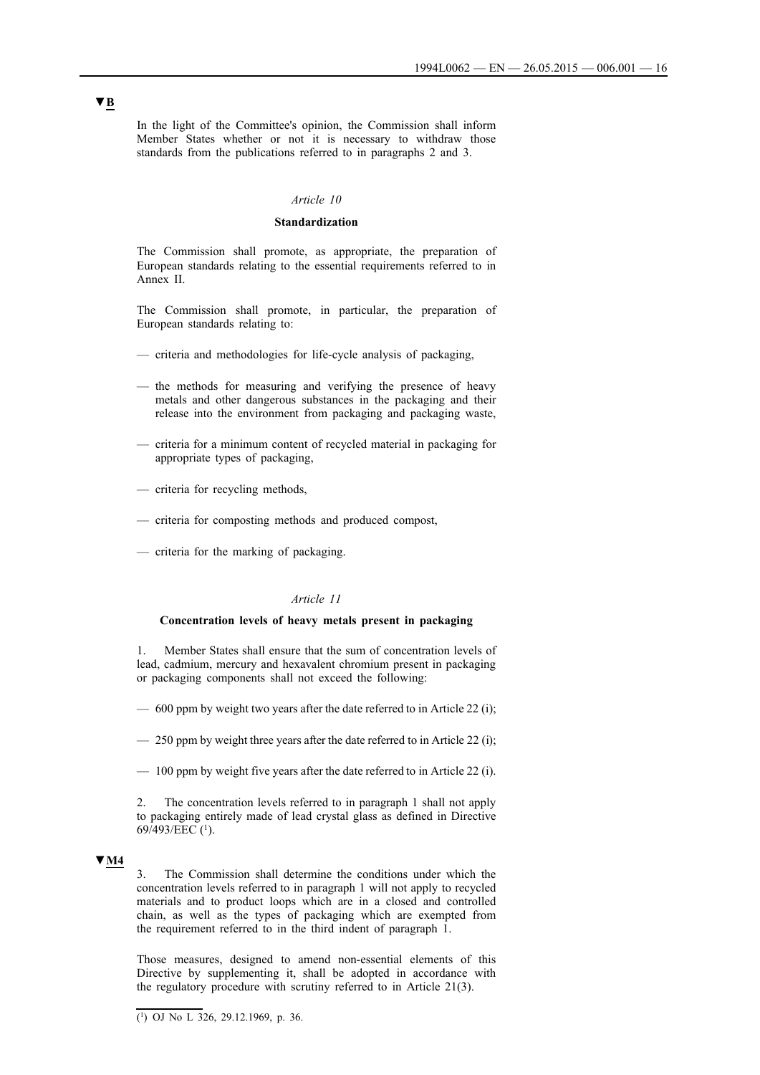In the light of the Committee's opinion, the Commission shall inform Member States whether or not it is necessary to withdraw those standards from the publications referred to in paragraphs 2 and 3.

#### *Article 10*

### **Standardization**

The Commission shall promote, as appropriate, the preparation of European standards relating to the essential requirements referred to in Annex II.

The Commission shall promote, in particular, the preparation of European standards relating to:

- criteria and methodologies for life-cycle analysis of packaging,
- the methods for measuring and verifying the presence of heavy metals and other dangerous substances in the packaging and their release into the environment from packaging and packaging waste,
- criteria for a minimum content of recycled material in packaging for appropriate types of packaging,
- criteria for recycling methods,
- criteria for composting methods and produced compost,
- criteria for the marking of packaging.

#### *Article 11*

### **Concentration levels of heavy metals present in packaging**

1. Member States shall ensure that the sum of concentration levels of lead, cadmium, mercury and hexavalent chromium present in packaging or packaging components shall not exceed the following:

- 600 ppm by weight two years after the date referred to in Article 22 (i);
- 250 ppm by weight three years after the date referred to in Article 22 (i);
- 100 ppm by weight five years after the date referred to in Article 22 (i).

The concentration levels referred to in paragraph 1 shall not apply to packaging entirely made of lead crystal glass as defined in Directive 69/493/EEC (1).

## **▼M4**

3. The Commission shall determine the conditions under which the concentration levels referred to in paragraph 1 will not apply to recycled materials and to product loops which are in a closed and controlled chain, as well as the types of packaging which are exempted from the requirement referred to in the third indent of paragraph 1.

Those measures, designed to amend non-essential elements of this Directive by supplementing it, shall be adopted in accordance with the regulatory procedure with scrutiny referred to in Article 21(3).

 $\overline{(^1)}$  OJ No L 326, 29.12.1969, p. 36.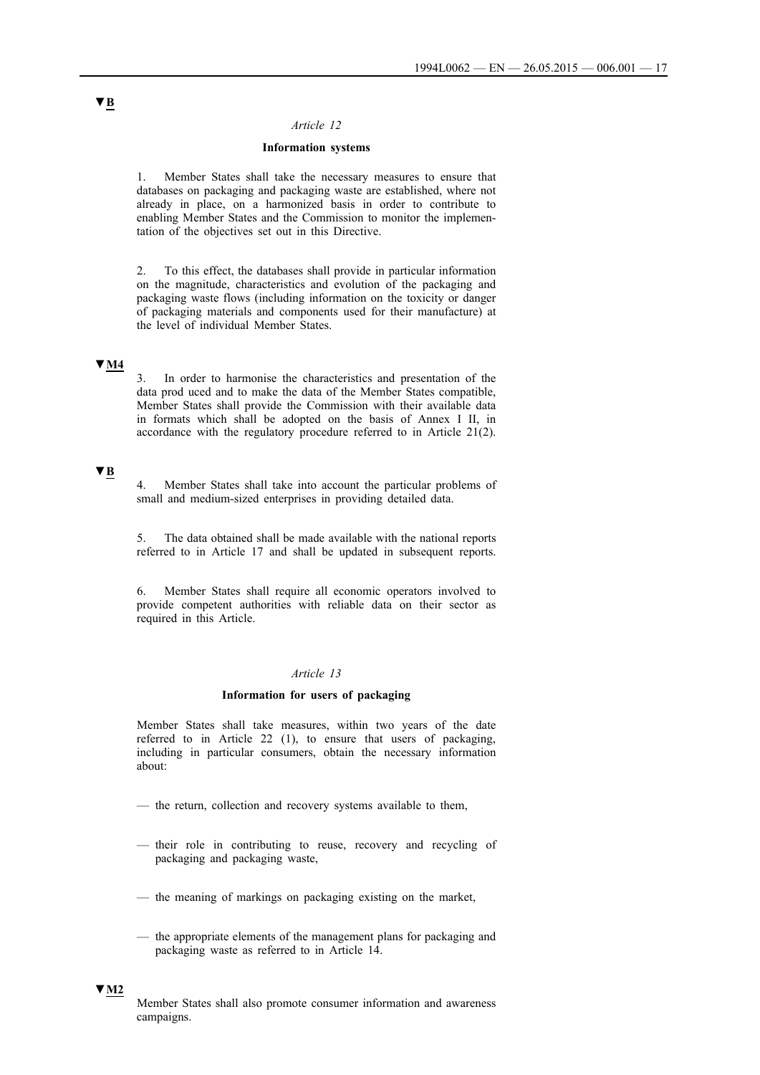## **Information systems**

1. Member States shall take the necessary measures to ensure that databases on packaging and packaging waste are established, where not already in place, on a harmonized basis in order to contribute to enabling Member States and the Commission to monitor the implementation of the objectives set out in this Directive.

2. To this effect, the databases shall provide in particular information on the magnitude, characteristics and evolution of the packaging and packaging waste flows (including information on the toxicity or danger of packaging materials and components used for their manufacture) at the level of individual Member States.

## **▼M4**

3. In order to harmonise the characteristics and presentation of the data prod uced and to make the data of the Member States compatible, Member States shall provide the Commission with their available data in formats which shall be adopted on the basis of Annex I II, in accordance with the regulatory procedure referred to in Article 21(2).

# **▼B**

4. Member States shall take into account the particular problems of small and medium-sized enterprises in providing detailed data.

5. The data obtained shall be made available with the national reports referred to in Article 17 and shall be updated in subsequent reports.

6. Member States shall require all economic operators involved to provide competent authorities with reliable data on their sector as required in this Article.

#### *Article 13*

#### **Information for users of packaging**

Member States shall take measures, within two years of the date referred to in Article 22 (1), to ensure that users of packaging, including in particular consumers, obtain the necessary information about:

- the return, collection and recovery systems available to them,
- their role in contributing to reuse, recovery and recycling of packaging and packaging waste,
- the meaning of markings on packaging existing on the market,
- the appropriate elements of the management plans for packaging and packaging waste as referred to in Article 14.

## **▼M2**

Member States shall also promote consumer information and awareness campaigns.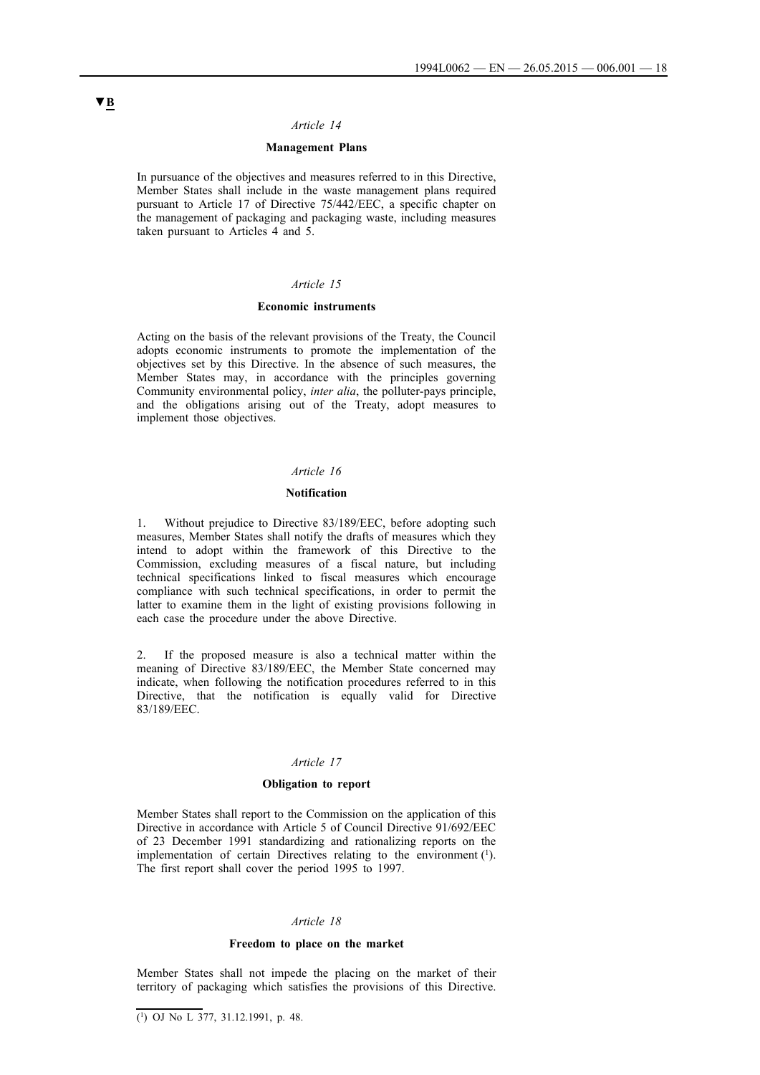## **Management Plans**

In pursuance of the objectives and measures referred to in this Directive, Member States shall include in the waste management plans required pursuant to Article 17 of Directive 75/442/EEC, a specific chapter on the management of packaging and packaging waste, including measures taken pursuant to Articles 4 and 5.

## *Article 15*

## **Economic instruments**

Acting on the basis of the relevant provisions of the Treaty, the Council adopts economic instruments to promote the implementation of the objectives set by this Directive. In the absence of such measures, the Member States may, in accordance with the principles governing Community environmental policy, *inter alia*, the polluter-pays principle, and the obligations arising out of the Treaty, adopt measures to implement those objectives.

### *Article 16*

#### **Notification**

1. Without prejudice to Directive 83/189/EEC, before adopting such measures, Member States shall notify the drafts of measures which they intend to adopt within the framework of this Directive to the Commission, excluding measures of a fiscal nature, but including technical specifications linked to fiscal measures which encourage compliance with such technical specifications, in order to permit the latter to examine them in the light of existing provisions following in each case the procedure under the above Directive.

2. If the proposed measure is also a technical matter within the meaning of Directive 83/189/EEC, the Member State concerned may indicate, when following the notification procedures referred to in this Directive, that the notification is equally valid for Directive 83/189/EEC.

#### *Article 17*

#### **Obligation to report**

Member States shall report to the Commission on the application of this Directive in accordance with Article 5 of Council Directive 91/692/EEC of 23 December 1991 standardizing and rationalizing reports on the implementation of certain Directives relating to the environment  $(1)$ . The first report shall cover the period 1995 to 1997.

## *Article 18*

#### **Freedom to place on the market**

Member States shall not impede the placing on the market of their territory of packaging which satisfies the provisions of this Directive.

 $\overline{(^1)}$  OJ No L 377, 31.12.1991, p. 48.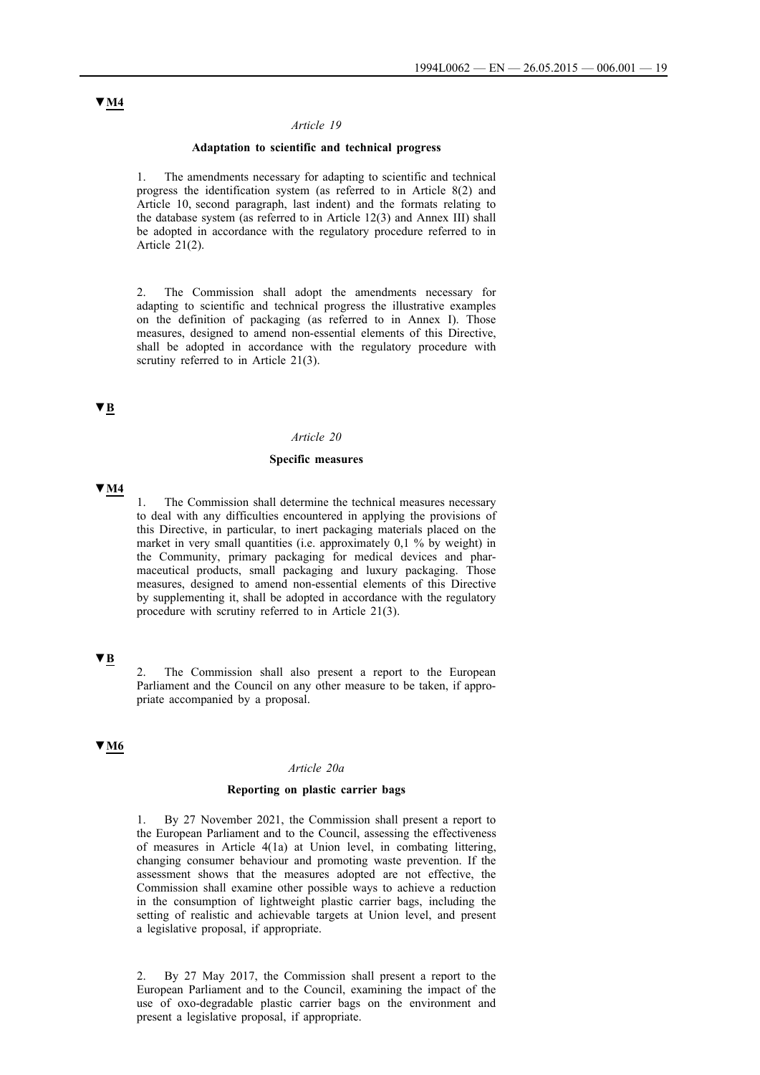## **Adaptation to scientific and technical progress**

1. The amendments necessary for adapting to scientific and technical progress the identification system (as referred to in Article 8(2) and Article 10, second paragraph, last indent) and the formats relating to the database system (as referred to in Article 12(3) and Annex III) shall be adopted in accordance with the regulatory procedure referred to in Article 21(2).

2. The Commission shall adopt the amendments necessary for adapting to scientific and technical progress the illustrative examples on the definition of packaging (as referred to in Annex I). Those measures, designed to amend non-essential elements of this Directive, shall be adopted in accordance with the regulatory procedure with scrutiny referred to in Article 21(3).

## **▼B**

#### *Article 20*

### **Specific measures**

**▼M4**

1. The Commission shall determine the technical measures necessary to deal with any difficulties encountered in applying the provisions of this Directive, in particular, to inert packaging materials placed on the market in very small quantities (i.e. approximately 0,1 % by weight) in the Community, primary packaging for medical devices and pharmaceutical products, small packaging and luxury packaging. Those measures, designed to amend non-essential elements of this Directive by supplementing it, shall be adopted in accordance with the regulatory procedure with scrutiny referred to in Article 21(3).

### **▼B**

2. The Commission shall also present a report to the European Parliament and the Council on any other measure to be taken, if appropriate accompanied by a proposal.

## **▼M6**

#### *Article 20a*

## **Reporting on plastic carrier bags**

1. By 27 November 2021, the Commission shall present a report to the European Parliament and to the Council, assessing the effectiveness of measures in Article 4(1a) at Union level, in combating littering, changing consumer behaviour and promoting waste prevention. If the assessment shows that the measures adopted are not effective, the Commission shall examine other possible ways to achieve a reduction in the consumption of lightweight plastic carrier bags, including the setting of realistic and achievable targets at Union level, and present a legislative proposal, if appropriate.

2. By 27 May 2017, the Commission shall present a report to the European Parliament and to the Council, examining the impact of the use of oxo-degradable plastic carrier bags on the environment and present a legislative proposal, if appropriate.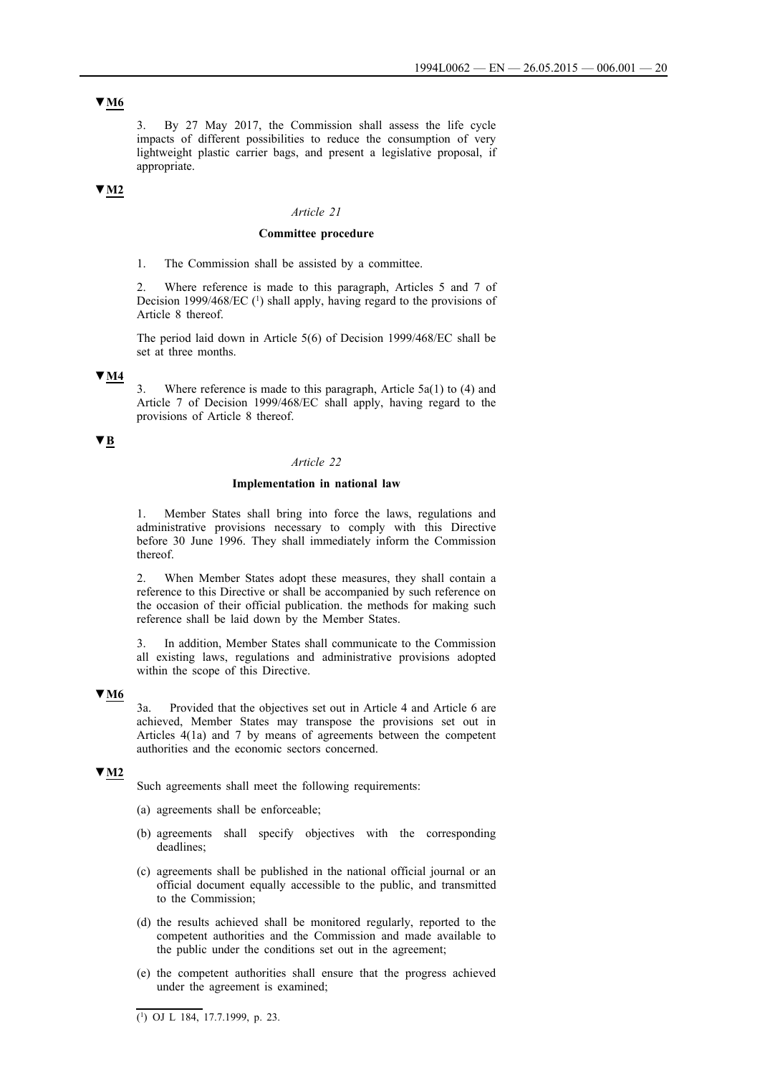## **▼M6**

3. By 27 May 2017, the Commission shall assess the life cycle impacts of different possibilities to reduce the consumption of very lightweight plastic carrier bags, and present a legislative proposal, if appropriate.

# **▼M2**

## *Article 21*

### **Committee procedure**

1. The Commission shall be assisted by a committee.

2. Where reference is made to this paragraph, Articles 5 and 7 of Decision 1999/468/EC  $(1)$  shall apply, having regard to the provisions of Article 8 thereof.

The period laid down in Article 5(6) of Decision 1999/468/EC shall be set at three months.

### **▼M4**

3. Where reference is made to this paragraph, Article 5a(1) to (4) and Article 7 of Decision 1999/468/EC shall apply, having regard to the provisions of Article 8 thereof.

### **▼B**

### *Article 22*

### **Implementation in national law**

1. Member States shall bring into force the laws, regulations and administrative provisions necessary to comply with this Directive before 30 June 1996. They shall immediately inform the Commission thereof.

2. When Member States adopt these measures, they shall contain a reference to this Directive or shall be accompanied by such reference on the occasion of their official publication. the methods for making such reference shall be laid down by the Member States.

3. In addition, Member States shall communicate to the Commission all existing laws, regulations and administrative provisions adopted within the scope of this Directive.

## **▼M6**

3a. Provided that the objectives set out in Article 4 and Article 6 are achieved, Member States may transpose the provisions set out in Articles 4(1a) and 7 by means of agreements between the competent authorities and the economic sectors concerned.

#### **▼M2**

Such agreements shall meet the following requirements:

- (a) agreements shall be enforceable;
- (b) agreements shall specify objectives with the corresponding deadlines;
- (c) agreements shall be published in the national official journal or an official document equally accessible to the public, and transmitted to the Commission;
- (d) the results achieved shall be monitored regularly, reported to the competent authorities and the Commission and made available to the public under the conditions set out in the agreement;
- (e) the competent authorities shall ensure that the progress achieved under the agreement is examined;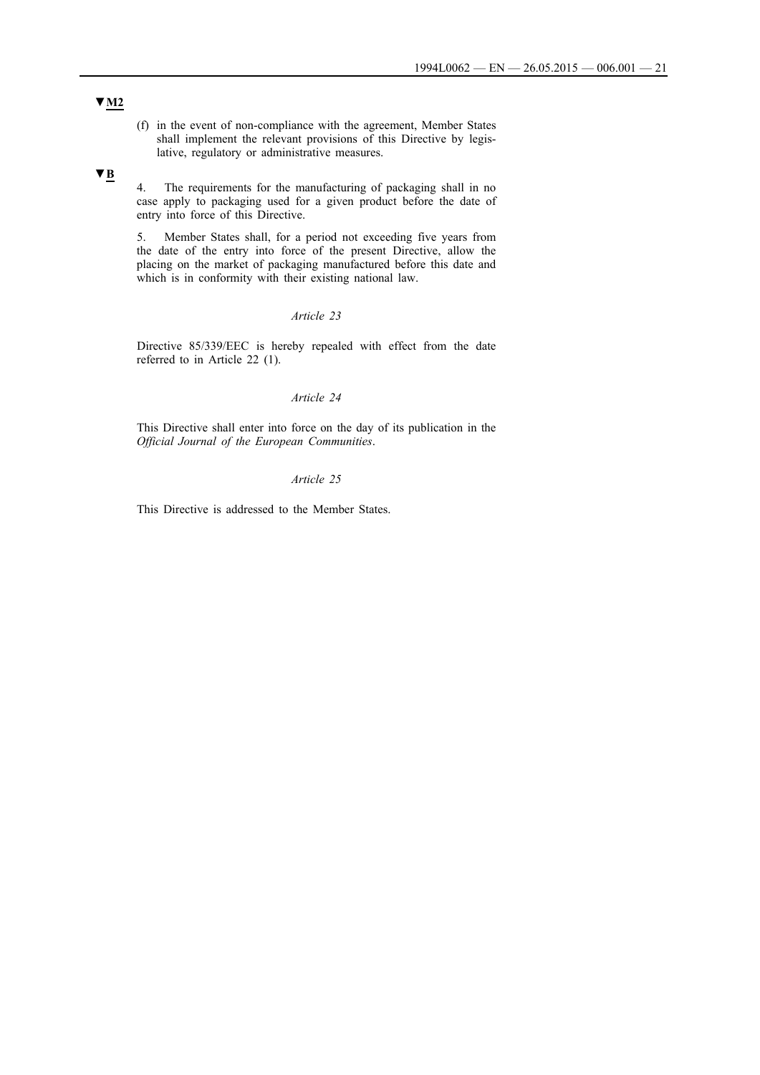(f) in the event of non-compliance with the agreement, Member States shall implement the relevant provisions of this Directive by legislative, regulatory or administrative measures.

## **▼B**

4. The requirements for the manufacturing of packaging shall in no case apply to packaging used for a given product before the date of entry into force of this Directive.

5. Member States shall, for a period not exceeding five years from the date of the entry into force of the present Directive, allow the placing on the market of packaging manufactured before this date and which is in conformity with their existing national law.

## *Article 23*

Directive 85/339/EEC is hereby repealed with effect from the date referred to in Article 22 (1).

## *Article 24*

This Directive shall enter into force on the day of its publication in the *Official Journal of the European Communities*.

#### *Article 25*

This Directive is addressed to the Member States.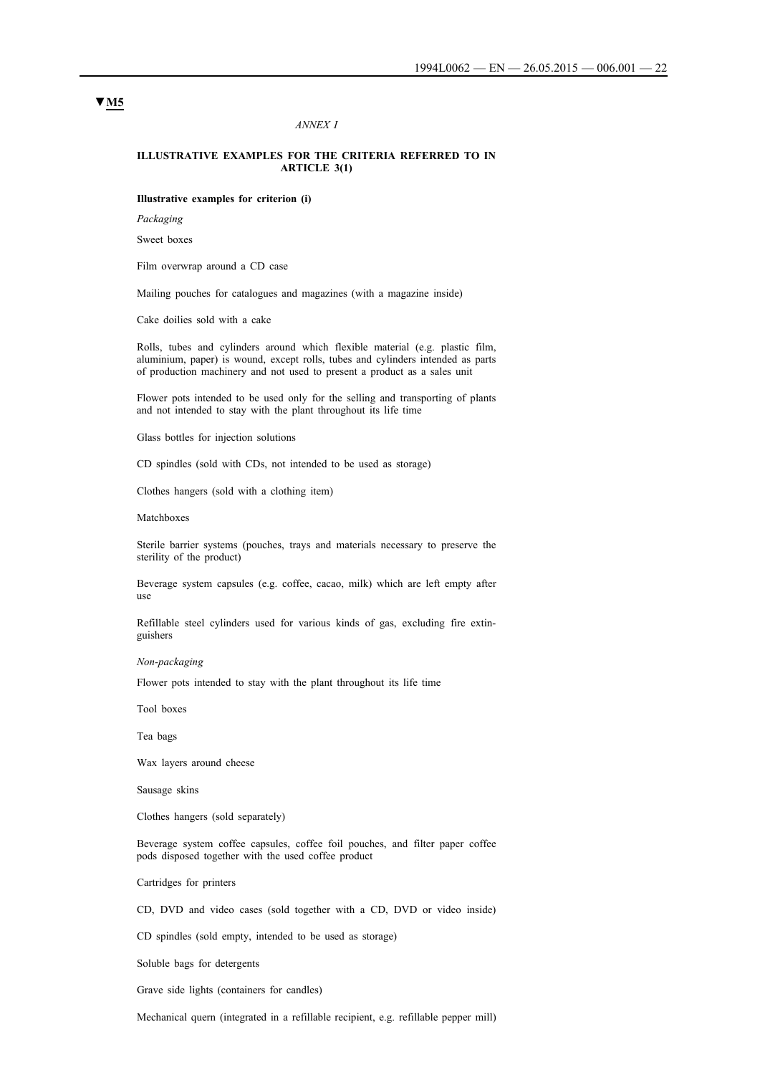#### *ANNEX I*

#### **ILLUSTRATIVE EXAMPLES FOR THE CRITERIA REFERRED TO IN ARTICLE 3(1)**

#### **Illustrative examples for criterion (i)**

*Packaging*

Sweet boxes

Film overwrap around a CD case

Mailing pouches for catalogues and magazines (with a magazine inside)

Cake doilies sold with a cake

Rolls, tubes and cylinders around which flexible material (e.g. plastic film, aluminium, paper) is wound, except rolls, tubes and cylinders intended as parts of production machinery and not used to present a product as a sales unit

Flower pots intended to be used only for the selling and transporting of plants and not intended to stay with the plant throughout its life time

Glass bottles for injection solutions

CD spindles (sold with CDs, not intended to be used as storage)

Clothes hangers (sold with a clothing item)

Matchboxes

Sterile barrier systems (pouches, trays and materials necessary to preserve the sterility of the product)

Beverage system capsules (e.g. coffee, cacao, milk) which are left empty after use

Refillable steel cylinders used for various kinds of gas, excluding fire extinguishers

*Non-packaging*

Flower pots intended to stay with the plant throughout its life time

Tool boxes

Tea bags

Wax layers around cheese

Sausage skins

Clothes hangers (sold separately)

Beverage system coffee capsules, coffee foil pouches, and filter paper coffee pods disposed together with the used coffee product

Cartridges for printers

CD, DVD and video cases (sold together with a CD, DVD or video inside)

CD spindles (sold empty, intended to be used as storage)

Soluble bags for detergents

Grave side lights (containers for candles)

Mechanical quern (integrated in a refillable recipient, e.g. refillable pepper mill)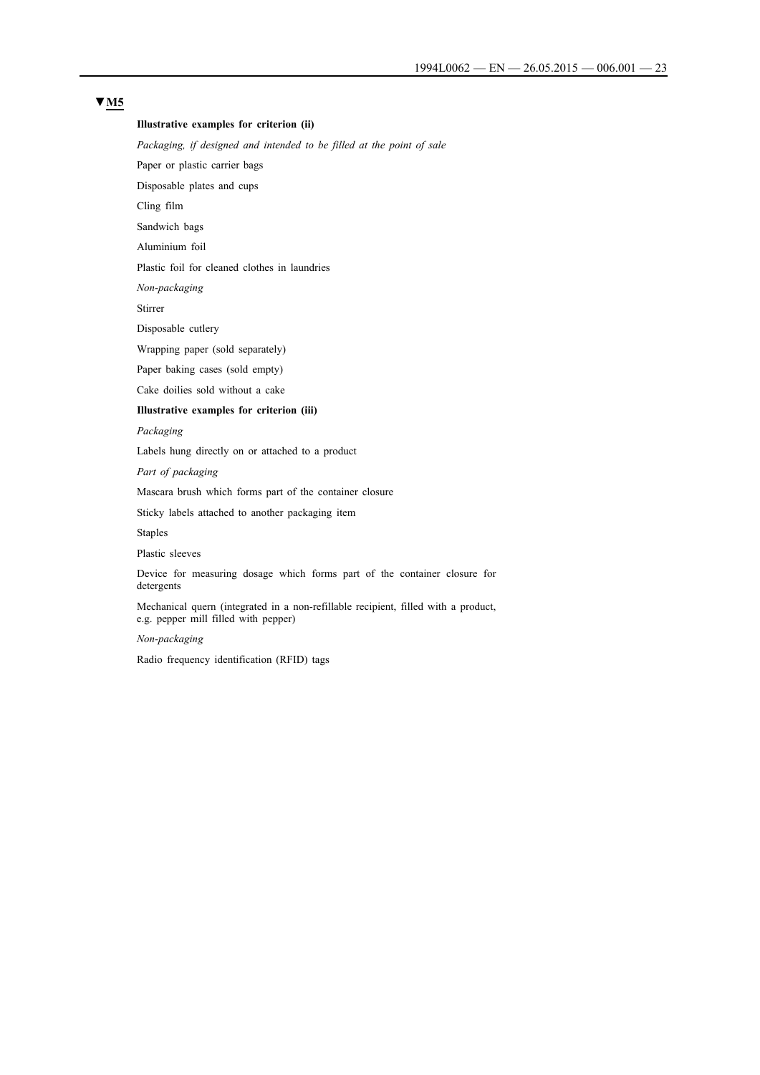## **▼M5**

## **Illustrative examples for criterion (ii)**

*Packaging, if designed and intended to be filled at the point of sale*

Paper or plastic carrier bags

Disposable plates and cups

Cling film

Sandwich bags

Aluminium foil

Plastic foil for cleaned clothes in laundries

*Non-packaging*

Stirrer

Disposable cutlery

Wrapping paper (sold separately)

Paper baking cases (sold empty)

Cake doilies sold without a cake

### **Illustrative examples for criterion (iii)**

*Packaging*

Labels hung directly on or attached to a product

*Part of packaging*

Mascara brush which forms part of the container closure

Sticky labels attached to another packaging item

Staples

Plastic sleeves

Device for measuring dosage which forms part of the container closure for detergents

Mechanical quern (integrated in a non-refillable recipient, filled with a product, e.g. pepper mill filled with pepper)

*Non-packaging*

Radio frequency identification (RFID) tags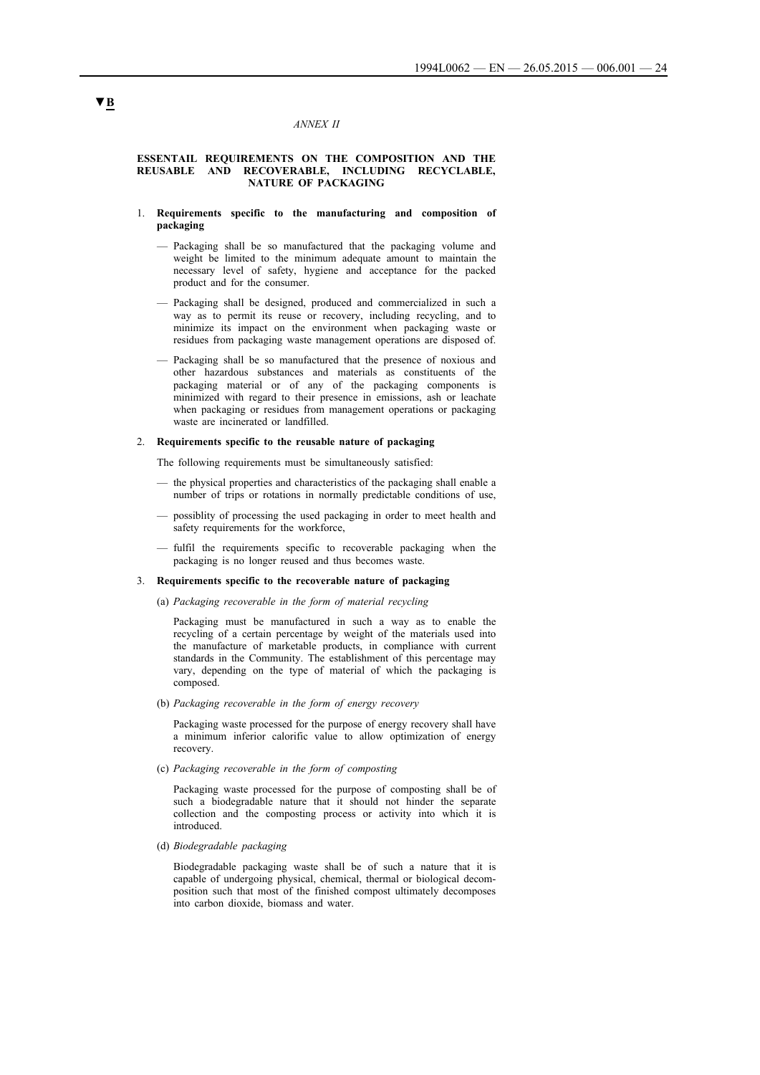#### *ANNEX II*

#### **ESSENTAIL REQUIREMENTS ON THE COMPOSITION AND THE REUSABLE AND RECOVERABLE, INCLUDING RECYCLABLE, NATURE OF PACKAGING**

#### 1. **Requirements specific to the manufacturing and composition of packaging**

- Packaging shall be so manufactured that the packaging volume and weight be limited to the minimum adequate amount to maintain the necessary level of safety, hygiene and acceptance for the packed product and for the consumer.
- Packaging shall be designed, produced and commercialized in such a way as to permit its reuse or recovery, including recycling, and to minimize its impact on the environment when packaging waste or residues from packaging waste management operations are disposed of.
- Packaging shall be so manufactured that the presence of noxious and other hazardous substances and materials as constituents of the packaging material or of any of the packaging components is minimized with regard to their presence in emissions, ash or leachate when packaging or residues from management operations or packaging waste are incinerated or landfilled.

#### 2. **Requirements specific to the reusable nature of packaging**

The following requirements must be simultaneously satisfied:

- the physical properties and characteristics of the packaging shall enable a number of trips or rotations in normally predictable conditions of use,
- possiblity of processing the used packaging in order to meet health and safety requirements for the workforce,
- fulfil the requirements specific to recoverable packaging when the packaging is no longer reused and thus becomes waste.

### 3. **Requirements specific to the recoverable nature of packaging**

(a) *Packaging recoverable in the form of material recycling*

Packaging must be manufactured in such a way as to enable the recycling of a certain percentage by weight of the materials used into the manufacture of marketable products, in compliance with current standards in the Community. The establishment of this percentage may vary, depending on the type of material of which the packaging is composed.

(b) *Packaging recoverable in the form of energy recovery*

Packaging waste processed for the purpose of energy recovery shall have a minimum inferior calorific value to allow optimization of energy recovery.

(c) *Packaging recoverable in the form of composting*

Packaging waste processed for the purpose of composting shall be of such a biodegradable nature that it should not hinder the separate collection and the composting process or activity into which it is introduced.

(d) *Biodegradable packaging*

Biodegradable packaging waste shall be of such a nature that it is capable of undergoing physical, chemical, thermal or biological decomposition such that most of the finished compost ultimately decomposes into carbon dioxide, biomass and water.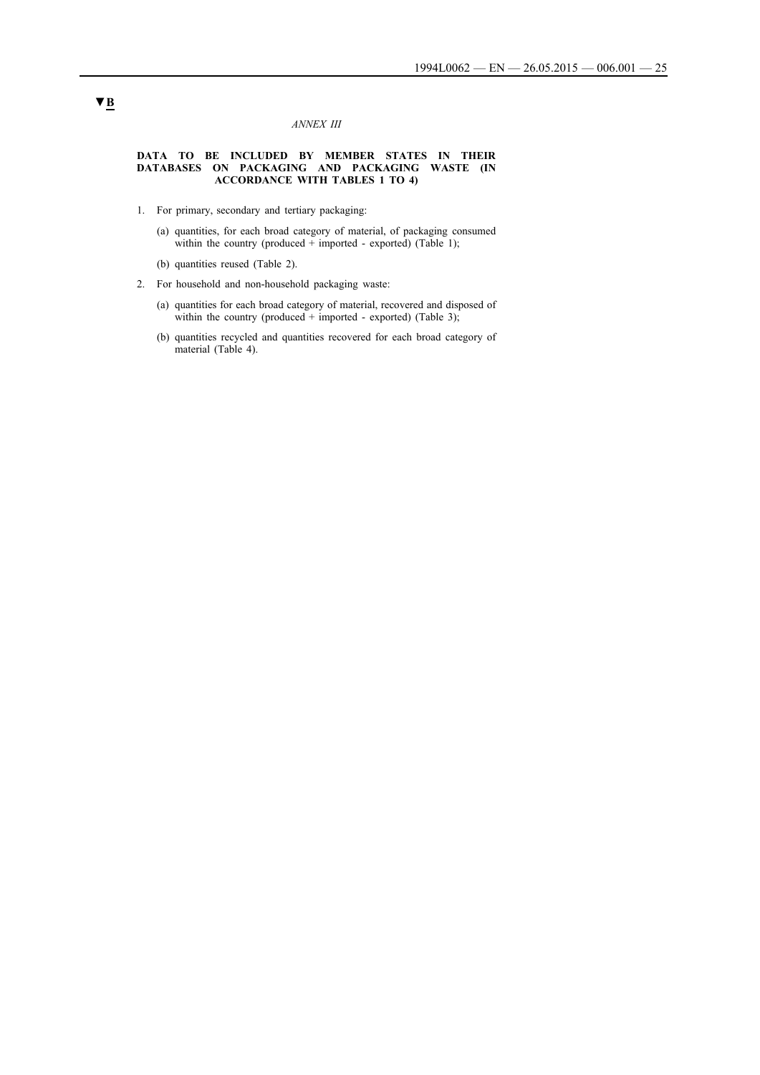## *ANNEX III*

#### **DATA TO BE INCLUDED BY MEMBER STATES IN THEIR DATABASES ON PACKAGING AND PACKAGING WASTE (IN ACCORDANCE WITH TABLES 1 TO 4)**

- 1. For primary, secondary and tertiary packaging:
	- (a) quantities, for each broad category of material, of packaging consumed within the country (produced + imported - exported) (Table 1);
	- (b) quantities reused (Table 2).
- 2. For household and non-household packaging waste:
	- (a) quantities for each broad category of material, recovered and disposed of within the country (produced  $+$  imported - exported) (Table 3);
	- (b) quantities recycled and quantities recovered for each broad category of material (Table 4).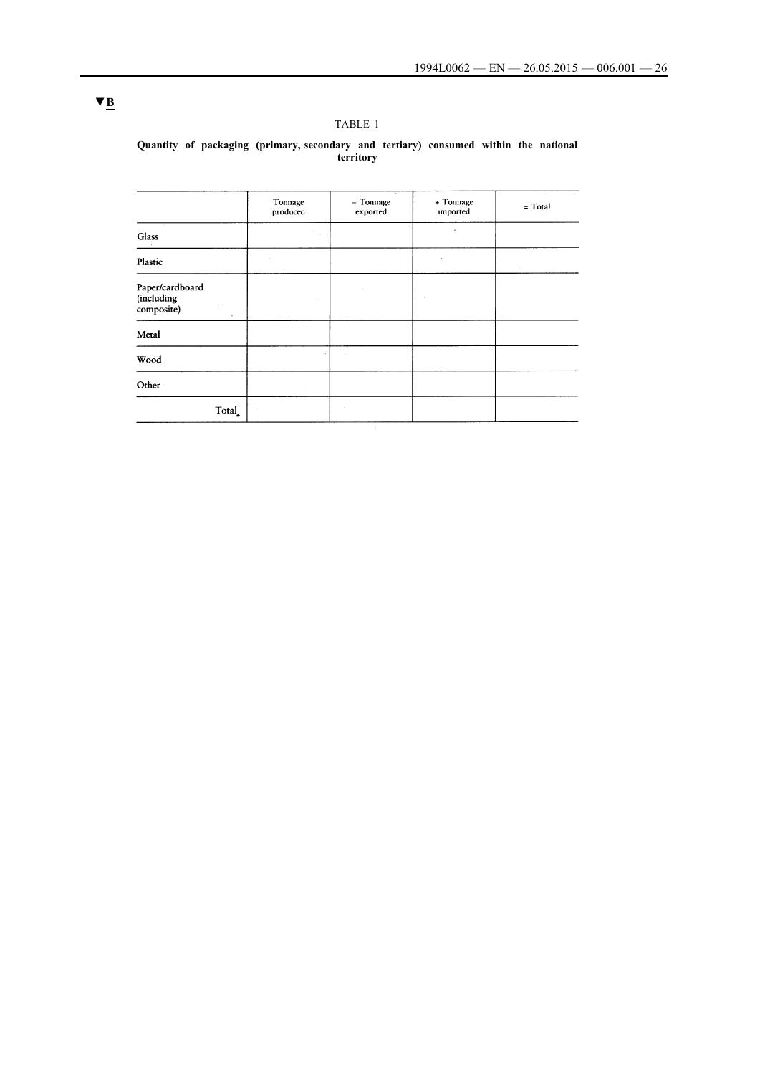#### **Quantity of packaging (primary, secondary and tertiary) consumed within the national territory**

| Tonnage<br>produced | - Tonnage<br>exported | + Tonnage<br>imported | $= Total$ |
|---------------------|-----------------------|-----------------------|-----------|
|                     |                       |                       |           |
|                     |                       |                       |           |
|                     |                       |                       |           |
|                     |                       |                       |           |
|                     |                       |                       |           |
|                     |                       |                       |           |
|                     |                       |                       |           |
|                     |                       |                       |           |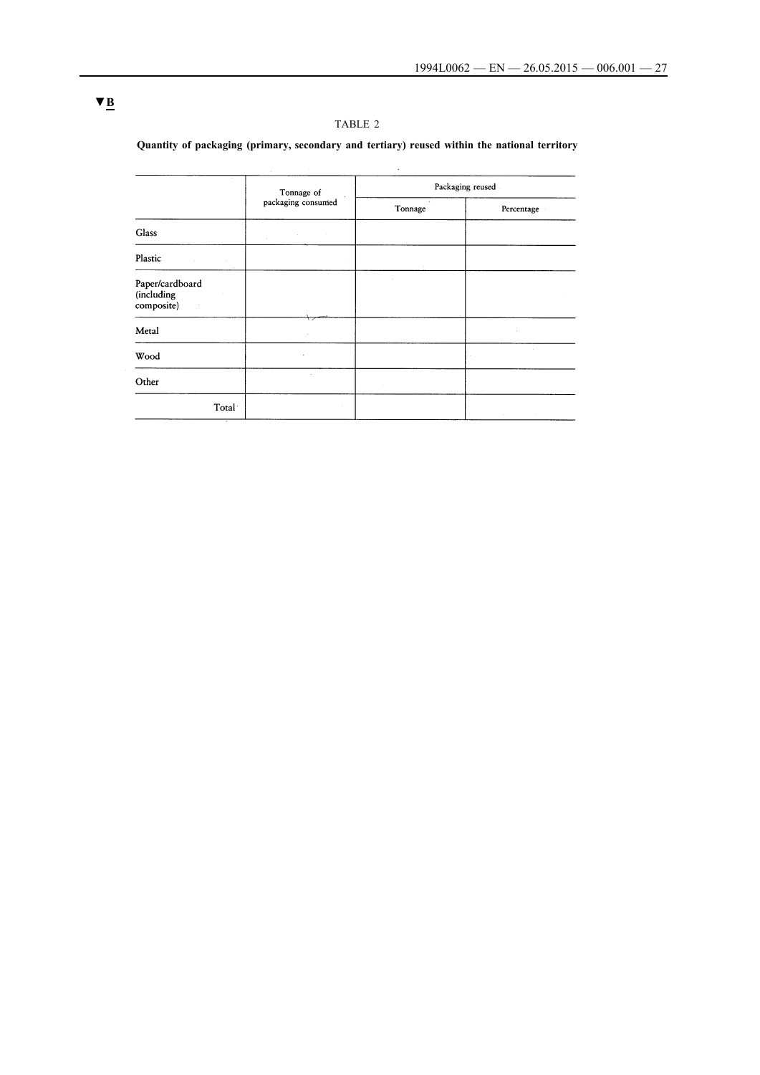## **Quantity of packaging (primary, secondary and tertiary) reused within the national territory**

|                                             | Tonnage of         | Packaging reused  |            |  |  |
|---------------------------------------------|--------------------|-------------------|------------|--|--|
|                                             | packaging consumed | $\sim$<br>Tonnage | Percentage |  |  |
| Glass                                       |                    |                   |            |  |  |
| Plastic                                     |                    |                   |            |  |  |
| Paper/cardboard<br>(including<br>composite) |                    |                   |            |  |  |
| Metal                                       |                    |                   |            |  |  |
| Wood                                        | $\bullet$          |                   |            |  |  |
| Other                                       |                    |                   |            |  |  |
| Total                                       |                    |                   |            |  |  |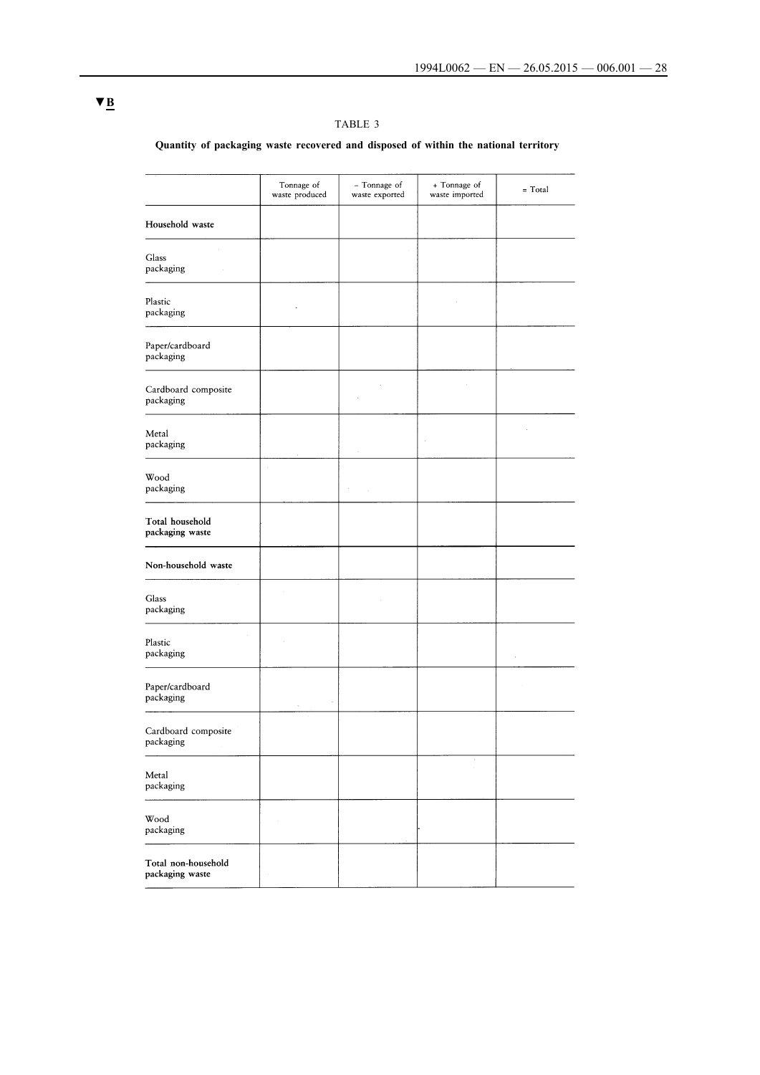## **Quantity of packaging waste recovered and disposed of within the national territory**

|                                        | Tonnage of<br>waste produced | - Tonnage of<br>waste exported | + Tonnage of<br>waste imported | $=$ Total |
|----------------------------------------|------------------------------|--------------------------------|--------------------------------|-----------|
| Household waste                        |                              |                                |                                |           |
| Glass<br>packaging                     |                              |                                |                                |           |
| Plastic<br>packaging                   |                              |                                |                                |           |
| Paper/cardboard<br>packaging           |                              |                                |                                |           |
| Cardboard composite<br>packaging       |                              |                                |                                |           |
| Metal<br>packaging                     |                              |                                |                                |           |
| Wood<br>packaging                      |                              |                                |                                |           |
| Total household<br>packaging waste     |                              |                                |                                |           |
| Non-household waste                    |                              |                                |                                |           |
| Glass<br>packaging                     |                              |                                |                                |           |
| Plastic<br>packaging                   |                              |                                |                                |           |
| Paper/cardboard<br>packaging           |                              |                                |                                |           |
| Cardboard composite<br>packaging       |                              |                                |                                |           |
| Metal<br>packaging                     |                              |                                | $\epsilon$                     |           |
| Wood<br>packaging                      | $\hat{\boldsymbol{\theta}}$  |                                |                                |           |
| Total non-household<br>packaging waste |                              |                                |                                |           |